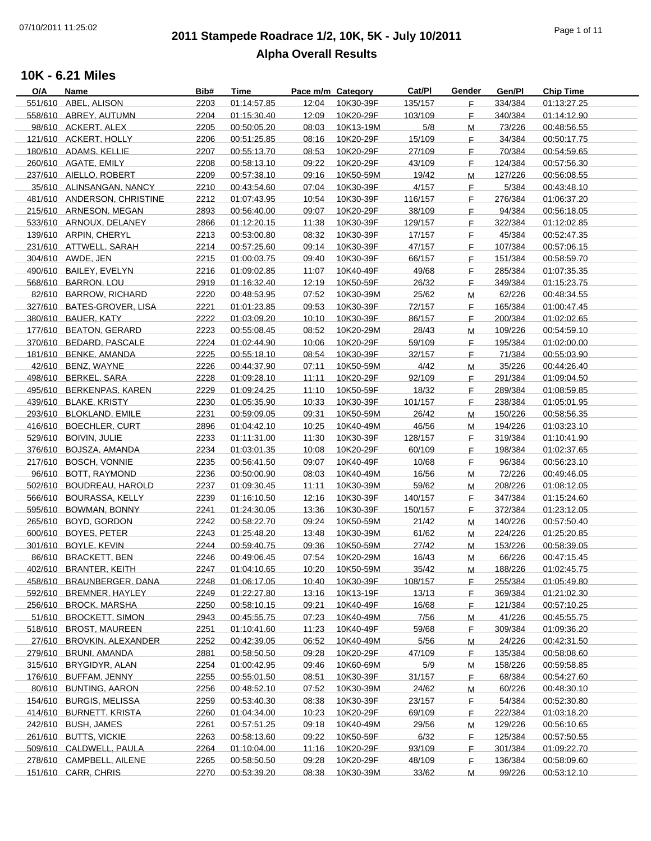# **2011 Stampede Roadrace 1/2, 10K, 5K - July 10/2011** 07/10/2011 11:25:02 Page 1 of 11 **Alpha Overall Results**

| O/A | Name                        | Bib# | Time        | Pace m/m Category |           | Cat/Pl  | Gender | Gen/Pl  | <b>Chip Time</b> |
|-----|-----------------------------|------|-------------|-------------------|-----------|---------|--------|---------|------------------|
|     | 551/610 ABEL, ALISON        | 2203 | 01:14:57.85 | 12:04             | 10K30-39F | 135/157 | F.     | 334/384 | 01:13:27.25      |
|     | 558/610 ABREY, AUTUMN       | 2204 | 01:15:30.40 | 12:09             | 10K20-29F | 103/109 | E      | 340/384 | 01:14:12.90      |
|     | 98/610 ACKERT, ALEX         | 2205 | 00:50:05.20 | 08:03             | 10K13-19M | 5/8     | Μ      | 73/226  | 00:48:56.55      |
|     | 121/610 ACKERT, HOLLY       | 2206 | 00:51:25.85 | 08:16             | 10K20-29F | 15/109  | F      | 34/384  | 00:50:17.75      |
|     | 180/610 ADAMS, KELLIE       | 2207 | 00:55:13.70 | 08:53             | 10K20-29F | 27/109  | F      | 70/384  | 00:54:59.65      |
|     | 260/610 AGATE, EMILY        | 2208 | 00:58:13.10 | 09:22             | 10K20-29F | 43/109  | F      | 124/384 | 00:57:56.30      |
|     | 237/610 AIELLO, ROBERT      | 2209 | 00:57:38.10 | 09:16             | 10K50-59M | 19/42   | M      | 127/226 | 00:56:08.55      |
|     | 35/610 ALINSANGAN, NANCY    | 2210 | 00:43:54.60 | 07:04             | 10K30-39F | 4/157   | F.     | 5/384   |                  |
|     |                             |      |             |                   |           |         |        |         | 00:43:48.10      |
|     | 481/610 ANDERSON, CHRISTINE | 2212 | 01:07:43.95 | 10:54             | 10K30-39F | 116/157 | F.     | 276/384 | 01:06:37.20      |
|     | 215/610 ARNESON, MEGAN      | 2893 | 00:56:40.00 | 09:07             | 10K20-29F | 38/109  | F.     | 94/384  | 00:56:18.05      |
|     | 533/610 ARNOUX, DELANEY     | 2866 | 01:12:20.15 | 11:38             | 10K30-39F | 129/157 | E      | 322/384 | 01:12:02.85      |
|     | 139/610 ARPIN, CHERYL       | 2213 | 00:53:00.80 | 08:32             | 10K30-39F | 17/157  | E      | 45/384  | 00:52:47.35      |
|     | 231/610 ATTWELL, SARAH      | 2214 | 00:57:25.60 | 09:14             | 10K30-39F | 47/157  | F      | 107/384 | 00:57:06.15      |
|     | 304/610 AWDE, JEN           | 2215 | 01:00:03.75 | 09:40             | 10K30-39F | 66/157  | F.     | 151/384 | 00:58:59.70      |
|     | 490/610 BAILEY, EVELYN      | 2216 | 01:09:02.85 | 11:07             | 10K40-49F | 49/68   | F.     | 285/384 | 01:07:35.35      |
|     | 568/610 BARRON, LOU         | 2919 | 01:16:32.40 | 12:19             | 10K50-59F | 26/32   | F.     | 349/384 | 01:15:23.75      |
|     | 82/610 BARROW, RICHARD      | 2220 | 00:48:53.95 | 07:52             | 10K30-39M | 25/62   | M      | 62/226  | 00:48:34.55      |
|     | 327/610 BATES-GROVER, LISA  | 2221 | 01:01:23.85 | 09:53             | 10K30-39F | 72/157  | F.     | 165/384 | 01:00:47.45      |
|     | 380/610 BAUER, KATY         | 2222 | 01:03:09.20 | 10:10             | 10K30-39F | 86/157  | E      | 200/384 | 01:02:02.65      |
|     | 177/610 BEATON, GERARD      | 2223 | 00:55:08.45 | 08:52             | 10K20-29M | 28/43   | M      | 109/226 | 00:54:59.10      |
|     | 370/610 BEDARD, PASCALE     | 2224 | 01:02:44.90 | 10:06             | 10K20-29F | 59/109  | E      | 195/384 | 01:02:00.00      |
|     | 181/610 BENKE, AMANDA       | 2225 | 00:55:18.10 | 08:54             | 10K30-39F | 32/157  | E      | 71/384  | 00:55:03.90      |
|     | 42/610 BENZ, WAYNE          | 2226 | 00:44:37.90 | 07:11             |           | 4/42    |        | 35/226  |                  |
|     |                             |      |             |                   | 10K50-59M |         | M      |         | 00:44:26.40      |
|     | 498/610 BERKEL, SARA        | 2228 | 01:09:28.10 | 11:11             | 10K20-29F | 92/109  | F.     | 291/384 | 01:09:04.50      |
|     | 495/610 BERKENPAS, KAREN    | 2229 | 01:09:24.25 | 11:10             | 10K50-59F | 18/32   | E      | 289/384 | 01:08:59.85      |
|     | 439/610 BLAKE, KRISTY       | 2230 | 01:05:35.90 | 10:33             | 10K30-39F | 101/157 | E      | 238/384 | 01:05:01.95      |
|     | 293/610 BLOKLAND, EMILE     | 2231 | 00:59:09.05 | 09:31             | 10K50-59M | 26/42   | Μ      | 150/226 | 00:58:56.35      |
|     | 416/610 BOECHLER, CURT      | 2896 | 01:04:42.10 | 10:25             | 10K40-49M | 46/56   | Μ      | 194/226 | 01:03:23.10      |
|     | 529/610 BOIVIN, JULIE       | 2233 | 01:11:31.00 | 11:30             | 10K30-39F | 128/157 | E      | 319/384 | 01:10:41.90      |
|     | 376/610 BOJSZA, AMANDA      | 2234 | 01:03:01.35 | 10:08             | 10K20-29F | 60/109  | F.     | 198/384 | 01:02:37.65      |
|     | 217/610 BOSCH, VONNIE       | 2235 | 00:56:41.50 | 09:07             | 10K40-49F | 10/68   | F.     | 96/384  | 00:56:23.10      |
|     | 96/610 BOTT, RAYMOND        | 2236 | 00:50:00.90 | 08:03             | 10K40-49M | 16/56   | M      | 72/226  | 00:49:46.05      |
|     | 502/610 BOUDREAU, HAROLD    | 2237 | 01:09:30.45 | 11:11             | 10K30-39M | 59/62   | M      | 208/226 | 01:08:12.05      |
|     | 566/610 BOURASSA, KELLY     | 2239 | 01:16:10.50 | 12:16             | 10K30-39F | 140/157 | F.     | 347/384 | 01:15:24.60      |
|     | 595/610 BOWMAN, BONNY       | 2241 | 01:24:30.05 | 13:36             | 10K30-39F | 150/157 | F.     | 372/384 | 01:23:12.05      |
|     | 265/610 BOYD, GORDON        | 2242 | 00:58:22.70 | 09:24             | 10K50-59M | 21/42   | Μ      | 140/226 | 00:57:50.40      |
|     | 600/610 BOYES, PETER        | 2243 | 01:25:48.20 | 13:48             | 10K30-39M | 61/62   | M      | 224/226 | 01:25:20.85      |
|     | 301/610 BOYLE, KEVIN        | 2244 | 00:59:40.75 | 09:36             | 10K50-59M | 27/42   | M      | 153/226 | 00:58:39.05      |
|     | 86/610 BRACKETT, BEN        | 2246 | 00:49:06.45 | 07:54             |           | 16/43   |        | 66/226  | 00:47:15.45      |
|     |                             |      |             |                   | 10K20-29M |         | M      |         |                  |
|     | 402/610 BRANTER, KEITH      | 2247 | 01:04:10.65 | 10:20             | 10K50-59M | 35/42   | M      | 188/226 | 01:02:45.75      |
|     | 458/610 BRAUNBERGER, DANA   | 2248 | 01:06:17.05 | 10:40             | 10K30-39F | 108/157 | E      | 255/384 | 01:05:49.80      |
|     | 592/610 BREMNER, HAYLEY     | 2249 | 01:22:27.80 | 13:16             | 10K13-19F | 13/13   | F      | 369/384 | 01:21:02.30      |
|     | 256/610 BROCK, MARSHA       | 2250 | 00:58:10.15 | 09:21             | 10K40-49F | 16/68   | E      | 121/384 | 00:57:10.25      |
|     | 51/610 BROCKETT, SIMON      | 2943 | 00:45:55.75 | 07:23             | 10K40-49M | 7/56    | М      | 41/226  | 00:45:55.75      |
|     | 518/610 BROST, MAUREEN      | 2251 | 01:10:41.60 | 11:23             | 10K40-49F | 59/68   | E      | 309/384 | 01:09:36.20      |
|     | 27/610 BROVKIN, ALEXANDER   | 2252 | 00:42:39.05 | 06:52             | 10K40-49M | 5/56    | M      | 24/226  | 00:42:31.50      |
|     | 279/610 BRUNI, AMANDA       | 2881 | 00:58:50.50 | 09:28             | 10K20-29F | 47/109  | F.     | 135/384 | 00:58:08.60      |
|     | 315/610 BRYGIDYR, ALAN      | 2254 | 01:00:42.95 | 09:46             | 10K60-69M | 5/9     | Μ      | 158/226 | 00:59:58.85      |
|     | 176/610 BUFFAM, JENNY       | 2255 | 00:55:01.50 | 08:51             | 10K30-39F | 31/157  | F.     | 68/384  | 00:54:27.60      |
|     | 80/610 BUNTING, AARON       | 2256 | 00:48:52.10 | 07:52             | 10K30-39M | 24/62   | M      | 60/226  | 00:48:30.10      |
|     | 154/610 BURGIS, MELISSA     | 2259 | 00:53:40.30 | 08:38             | 10K30-39F | 23/157  | F.     | 54/384  | 00:52:30.80      |
|     | 414/610 BURNETT, KRISTA     | 2260 | 01:04:34.00 | 10:23             | 10K20-29F | 69/109  | F      | 222/384 | 01:03:18.20      |
|     | 242/610 BUSH, JAMES         | 2261 | 00:57:51.25 | 09:18             | 10K40-49M | 29/56   | М      | 129/226 | 00:56:10.65      |
|     | 261/610 BUTTS, VICKIE       | 2263 | 00:58:13.60 | 09:22             | 10K50-59F | 6/32    | E      | 125/384 | 00:57:50.55      |
|     | 509/610 CALDWELL, PAULA     |      |             |                   |           | 93/109  | F.     |         |                  |
|     |                             | 2264 | 01:10:04.00 | 11:16             | 10K20-29F |         |        | 301/384 | 01:09:22.70      |
|     | 278/610 CAMPBELL, AILENE    | 2265 | 00:58:50.50 | 09:28             | 10K20-29F | 48/109  | F.     | 136/384 | 00:58:09.60      |
|     | 151/610 CARR, CHRIS         | 2270 | 00:53:39.20 | 08:38             | 10K30-39M | 33/62   | м      | 99/226  | 00:53:12.10      |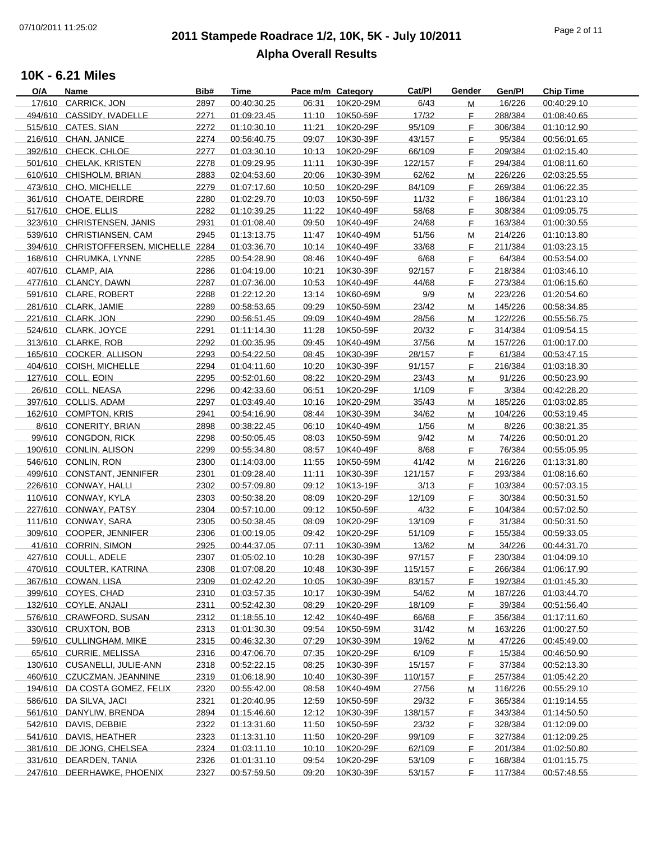# **2011 Stampede Roadrace 1/2, 10K, 5K - July 10/2011** 07/10/2011 11:25:02 Page 2 of 11 **Alpha Overall Results**

| O/A     | Name                                                 | Bib#         | Time                       | Pace m/m Category |                        | Cat/Pl  | Gender | Gen/Pl             | <b>Chip Time</b> |
|---------|------------------------------------------------------|--------------|----------------------------|-------------------|------------------------|---------|--------|--------------------|------------------|
|         | 17/610 CARRICK, JON                                  | 2897         | 00:40:30.25                | 06:31             | 10K20-29M              | 6/43    | M      | 16/226             | 00:40:29.10      |
|         | 494/610 CASSIDY, IVADELLE                            | 2271         | 01:09:23.45                | 11:10             | 10K50-59F              | 17/32   | F.     | 288/384            | 01:08:40.65      |
|         | 515/610 CATES, SIAN                                  | 2272         | 01:10:30.10                | 11:21             | 10K20-29F              | 95/109  | F.     | 306/384            | 01:10:12.90      |
|         | 216/610 CHAN, JANICE                                 | 2274         | 00:56:40.75                | 09:07             | 10K30-39F              | 43/157  | F.     | 95/384             | 00:56:01.65      |
|         | 392/610 CHECK, CHLOE                                 | 2277         | 01:03:30.10                | 10:13             | 10K20-29F              | 66/109  | F.     | 209/384            | 01:02:15.40      |
|         | 501/610 CHELAK, KRISTEN                              | 2278         | 01:09:29.95                | 11:11             | 10K30-39F              | 122/157 | F.     | 294/384            | 01:08:11.60      |
|         | 610/610 CHISHOLM, BRIAN                              | 2883         | 02:04:53.60                | 20:06             | 10K30-39M              | 62/62   | M      | 226/226            | 02:03:25.55      |
|         | 473/610 CHO, MICHELLE                                | 2279         | 01:07:17.60                | 10:50             | 10K20-29F              | 84/109  | F.     | 269/384            | 01:06:22.35      |
|         | 361/610 CHOATE, DEIRDRE                              | 2280         | 01:02:29.70                | 10:03             | 10K50-59F              | 11/32   | F      | 186/384            | 01:01:23.10      |
|         | 517/610 CHOE, ELLIS                                  | 2282         | 01:10:39.25                | 11:22             | 10K40-49F              | 58/68   | F.     | 308/384            | 01:09:05.75      |
|         | 323/610 CHRISTENSEN, JANIS                           | 2931         | 01:01:08.40                | 09:50             | 10K40-49F              | 24/68   | F.     | 163/384            | 01:00:30.55      |
|         | 539/610 CHRISTIANSEN, CAM                            | 2945         | 01:13:13.75                | 11:47             | 10K40-49M              | 51/56   | M      | 214/226            | 01:10:13.80      |
|         | 394/610 CHRISTOFFERSEN, MICHELLE 2284                |              | 01:03:36.70                | 10:14             | 10K40-49F              | 33/68   | F.     | 211/384            | 01:03:23.15      |
|         | 168/610 CHRUMKA, LYNNE                               | 2285         | 00:54:28.90                | 08:46             | 10K40-49F              | 6/68    | F.     | 64/384             | 00:53:54.00      |
|         | 407/610 CLAMP, AIA                                   | 2286         | 01:04:19.00                | 10:21             | 10K30-39F              | 92/157  | F.     | 218/384            | 01:03:46.10      |
|         | 477/610 CLANCY, DAWN                                 | 2287         | 01:07:36.00                | 10:53             | 10K40-49F              | 44/68   | F.     | 273/384            | 01:06:15.60      |
|         | 591/610 CLARE, ROBERT                                | 2288         | 01:22:12.20                | 13:14             | 10K60-69M              | 9/9     | M      | 223/226            | 01:20:54.60      |
|         | 281/610 CLARK, JAMIE                                 | 2289         | 00:58:53.65                | 09:29             | 10K50-59M              | 23/42   | M      | 145/226            | 00:58:34.85      |
|         | 221/610 CLARK, JON                                   | 2290         | 00:56:51.45                | 09:09             | 10K40-49M              | 28/56   | M      | 122/226            | 00:55:56.75      |
|         | 524/610 CLARK, JOYCE                                 | 2291         | 01:11:14.30                | 11:28             | 10K50-59F              | 20/32   | F.     | 314/384            | 01:09:54.15      |
|         | 313/610 CLARKE, ROB                                  | 2292         | 01:00:35.95                | 09:45             | 10K40-49M              | 37/56   | M      | 157/226            | 01:00:17.00      |
|         | 165/610 COCKER, ALLISON                              | 2293         | 00:54:22.50                | 08:45             | 10K30-39F              | 28/157  | F.     | 61/384             | 00:53:47.15      |
|         | 404/610 COISH, MICHELLE                              | 2294         | 01:04:11.60                | 10:20             | 10K30-39F              | 91/157  | F.     | 216/384            | 01:03:18.30      |
|         | 127/610 COLL, EOIN                                   | 2295         | 00:52:01.60                | 08:22             | 10K20-29M              | 23/43   | M      | 91/226             | 00:50:23.90      |
|         | 26/610 COLL, NEASA                                   | 2296         | 00:42:33.60                | 06:51             | 10K20-29F              | 1/109   | F.     | 3/384              | 00:42:28.20      |
|         | 397/610 COLLIS, ADAM                                 | 2297         | 01:03:49.40                | 10:16             | 10K20-29M              | 35/43   | M      | 185/226            | 01:03:02.85      |
|         | 162/610 COMPTON, KRIS                                | 2941         | 00:54:16.90                | 08:44             | 10K30-39M              | 34/62   | M      | 104/226            | 00:53:19.45      |
|         | 8/610 CONERITY, BRIAN                                | 2898         | 00:38:22.45                | 06:10             | 10K40-49M              | 1/56    | M      | 8/226              | 00:38:21.35      |
|         | 99/610 CONGDON, RICK                                 | 2298         | 00:50:05.45                | 08:03             | 10K50-59M              | 9/42    | M      | 74/226             | 00:50:01.20      |
|         | 190/610 CONLIN, ALISON                               | 2299         | 00:55:34.80                | 08:57             | 10K40-49F              | 8/68    | F.     | 76/384             | 00:55:05.95      |
|         | 546/610 CONLIN, RON                                  | 2300         | 01:14:03.00                | 11:55             | 10K50-59M              | 41/42   | M      | 216/226            | 01:13:31.80      |
|         | 499/610 CONSTANT, JENNIFER                           | 2301         | 01:09:28.40                | 11:11             | 10K30-39F              | 121/157 | F.     | 293/384            | 01:08:16.60      |
|         | 226/610 CONWAY, HALLI                                | 2302         | 00:57:09.80                | 09:12             | 10K13-19F              | 3/13    | F.     | 103/384            | 00:57:03.15      |
|         | 110/610 CONWAY, KYLA                                 | 2303         | 00:50:38.20                | 08:09             | 10K20-29F              | 12/109  | F.     | 30/384             | 00:50:31.50      |
|         | 227/610 CONWAY, PATSY                                | 2304         | 00:57:10.00                | 09:12             | 10K50-59F              | 4/32    | F.     | 104/384            | 00:57:02.50      |
|         | 111/610 CONWAY, SARA                                 | 2305         | 00:50:38.45                | 08:09             | 10K20-29F              | 13/109  | F.     | 31/384             | 00:50:31.50      |
|         | 309/610 COOPER, JENNIFER                             | 2306         | 01:00:19.05                | 09:42             | 10K20-29F              | 51/109  | F.     | 155/384            | 00:59:33.05      |
|         | 41/610 CORRIN, SIMON                                 | 2925         | 00:44:37.05                | 07:11             | 10K30-39M              | 13/62   | M      | 34/226             | 00:44:31.70      |
|         | 427/610 COULL, ADELE                                 | 2307         | 01:05:02.10                | 10:28             | 10K30-39F              | 97/157  | F      | 230/384            | 01:04:09.10      |
|         | 470/610 COULTER, KATRINA                             | 2308         | 01:07:08.20                | 10:48             | 10K30-39F              | 115/157 | F.     | 266/384            | 01:06:17.90      |
|         | 367/610 COWAN, LISA                                  | 2309         | 01:02:42.20                | 10:05             | 10K30-39F              | 83/157  | F      | 192/384            | 01:01:45.30      |
|         | 399/610 COYES, CHAD                                  | 2310         | 01:03:57.35                | 10:17             | 10K30-39M              | 54/62   | M      | 187/226            | 01:03:44.70      |
|         | 132/610 COYLE, ANJALI                                | 2311         | 00:52:42.30                | 08:29             | 10K20-29F              | 18/109  | F.     | 39/384             | 00:51:56.40      |
|         | 576/610 CRAWFORD, SUSAN                              | 2312         | 01:18:55.10                | 12:42             | 10K40-49F              | 66/68   | F.     | 356/384            | 01:17:11.60      |
|         | 330/610 CRUXTON, BOB                                 | 2313         | 01:01:30.30                | 09:54             | 10K50-59M              | 31/42   | M      | 163/226            | 01:00:27.50      |
|         | 59/610 CULLINGHAM, MIKE                              | 2315         | 00:46:32.30                | 07:29             | 10K30-39M              | 19/62   | M      | 47/226             | 00:45:49.00      |
|         | 65/610 CURRIE, MELISSA                               | 2316         | 00:47:06.70                | 07:35             | 10K20-29F              | 6/109   | F.     | 15/384             | 00:46:50.90      |
|         | 130/610 CUSANELLI, JULIE-ANN                         | 2318         | 00:52:22.15                | 08:25             | 10K30-39F              | 15/157  | F      | 37/384             | 00:52:13.30      |
|         | 460/610 CZUCZMAN, JEANNINE                           | 2319         | 01:06:18.90                | 10:40             | 10K30-39F              | 110/157 | F      | 257/384            | 01:05:42.20      |
|         | 194/610 DA COSTA GOMEZ, FELIX                        | 2320         | 00:55:42.00                | 08:58             | 10K40-49M              | 27/56   | M      | 116/226            | 00:55:29.10      |
|         | 586/610 DA SILVA, JACI                               | 2321         | 01:20:40.95                | 12:59             | 10K50-59F              | 29/32   | F.     | 365/384            | 01:19:14.55      |
| 561/610 | DANYLIW, BRENDA                                      | 2894         | 01:15:46.60                | 12:12             | 10K30-39F              | 138/157 | F      | 343/384            | 01:14:50.50      |
|         | 542/610 DAVIS, DEBBIE                                | 2322         | 01:13:31.60                | 11:50             | 10K50-59F              | 23/32   | F      | 328/384            | 01:12:09.00      |
|         | 541/610 DAVIS, HEATHER                               | 2323         | 01:13:31.10                | 11:50             | 10K20-29F              | 99/109  |        | 327/384            | 01:12:09.25      |
|         | 381/610 DE JONG, CHELSEA                             |              | 01:03:11.10                |                   |                        |         | F.     |                    |                  |
|         |                                                      | 2324         |                            | 10:10<br>09:54    | 10K20-29F<br>10K20-29F | 62/109  | F.     | 201/384<br>168/384 | 01:02:50.80      |
|         | 331/610 DEARDEN, TANIA<br>247/610 DEERHAWKE, PHOENIX | 2326<br>2327 | 01:01:31.10<br>00:57:59.50 |                   | 10K30-39F              | 53/109  | F      |                    | 01:01:15.75      |
|         |                                                      |              |                            | 09:20             |                        | 53/157  | F      | 117/384            | 00:57:48.55      |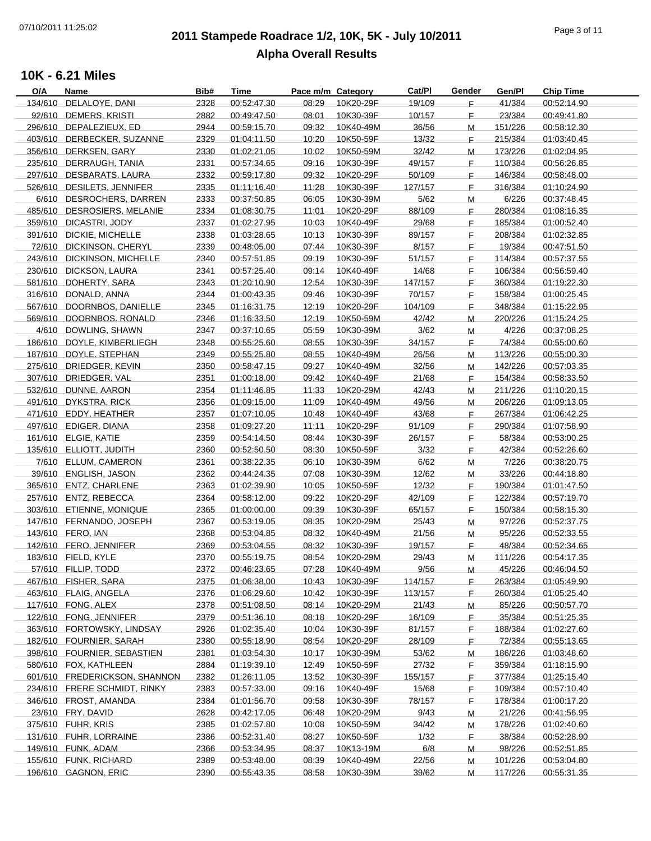# **2011 Stampede Roadrace 1/2, 10K, 5K - July 10/2011** 07/10/2011 11:25:02 Page 3 of 11 **Alpha Overall Results**

| O/A | Name                                       | Bib#         | Time                       | Pace m/m Category |                        | Cat/PI        | Gender | Gen/PI            | <b>Chip Time</b>           |
|-----|--------------------------------------------|--------------|----------------------------|-------------------|------------------------|---------------|--------|-------------------|----------------------------|
|     | 134/610 DELALOYE, DANI                     | 2328         | 00:52:47.30                | 08:29             | 10K20-29F              | 19/109        | F.     | 41/384            | 00:52:14.90                |
|     | 92/610 DEMERS, KRISTI                      | 2882         | 00:49:47.50                | 08:01             | 10K30-39F              | 10/157        | E      | 23/384            | 00:49:41.80                |
|     | 296/610 DEPALEZIEUX, ED                    | 2944         | 00:59:15.70                | 09:32             | 10K40-49M              | 36/56         | M      | 151/226           | 00:58:12.30                |
|     | 403/610 DERBECKER, SUZANNE                 | 2329         | 01:04:11.50                | 10:20             | 10K50-59F              | 13/32         | F.     | 215/384           | 01:03:40.45                |
|     | 356/610 DERKSEN, GARY                      | 2330         | 01:02:21.05                | 10:02             | 10K50-59M              | 32/42         | M      | 173/226           | 01:02:04.95                |
|     | 235/610 DERRAUGH, TANIA                    | 2331         | 00:57:34.65                | 09:16             | 10K30-39F              | 49/157        | F.     | 110/384           | 00:56:26.85                |
|     | 297/610 DESBARATS, LAURA                   | 2332         | 00:59:17.80                | 09:32             | 10K20-29F              | 50/109        | F.     | 146/384           | 00:58:48.00                |
|     | 526/610 DESILETS, JENNIFER                 | 2335         | 01:11:16.40                | 11:28             | 10K30-39F              | 127/157       | F.     | 316/384           | 01:10:24.90                |
|     | 6/610 DESROCHERS, DARREN                   | 2333         | 00:37:50.85                | 06:05             | 10K30-39M              | 5/62          | M      | 6/226             | 00:37:48.45                |
|     | 485/610 DESROSIERS, MELANIE                | 2334         | 01:08:30.75                | 11:01             | 10K20-29F              | 88/109        | F.     | 280/384           | 01:08:16.35                |
|     | 359/610 DICASTRI, JODY                     | 2337         | 01:02:27.95                | 10:03             | 10K40-49F              | 29/68         | F.     | 185/384           | 01:00:52.40                |
|     | 391/610 DICKIE, MICHELLE                   | 2338         | 01:03:28.65                | 10:13             | 10K30-39F              | 89/157        | F.     | 208/384           | 01:02:32.85                |
|     | 72/610 DICKINSON, CHERYL                   | 2339         | 00:48:05.00                | 07:44             | 10K30-39F              | 8/157         | F.     | 19/384            | 00:47:51.50                |
|     | 243/610 DICKINSON, MICHELLE                | 2340         | 00:57:51.85                | 09:19             | 10K30-39F              | 51/157        | F.     | 114/384           | 00:57:37.55                |
|     | 230/610 DICKSON, LAURA                     | 2341         | 00:57:25.40                | 09:14             | 10K40-49F              | 14/68         | F.     | 106/384           | 00:56:59.40                |
|     | 581/610 DOHERTY, SARA                      | 2343         | 01:20:10.90                | 12:54             | 10K30-39F              | 147/157       | F.     | 360/384           | 01:19:22.30                |
|     | 316/610 DONALD, ANNA                       | 2344         | 01:00:43.35                | 09:46             | 10K30-39F              | 70/157        | E      | 158/384           | 01:00:25.45                |
|     | 567/610 DOORNBOS, DANIELLE                 | 2345         | 01:16:31.75                | 12:19             | 10K20-29F              | 104/109       | E      | 348/384           | 01:15:22.95                |
|     | 569/610 DOORNBOS, RONALD                   | 2346         | 01:16:33.50                | 12:19             | 10K50-59M              | 42/42         | M      | 220/226           | 01:15:24.25                |
|     | 4/610 DOWLING, SHAWN                       | 2347         | 00:37:10.65                | 05:59             | 10K30-39M              | 3/62          | M      | 4/226             | 00:37:08.25                |
|     | 186/610 DOYLE, KIMBERLIEGH                 | 2348         | 00:55:25.60                | 08:55             | 10K30-39F              | 34/157        | F.     | 74/384            | 00:55:00.60                |
|     | 187/610 DOYLE, STEPHAN                     | 2349         | 00:55:25.80                | 08:55             | 10K40-49M              | 26/56         | M      | 113/226           | 00:55:00.30                |
|     | 275/610 DRIEDGER, KEVIN                    | 2350         | 00:58:47.15                | 09:27             | 10K40-49M              | 32/56         | M      | 142/226           | 00:57:03.35                |
|     | 307/610 DRIEDGER, VAL                      | 2351         | 01:00:18.00                | 09:42             | 10K40-49F              | 21/68         | F.     | 154/384           | 00:58:33.50                |
|     | 532/610 DUNNE, AARON                       | 2354         | 01:11:46.85                | 11:33             | 10K20-29M              | 42/43         | M      | 211/226           | 01:10:20.15                |
|     | 491/610 DYKSTRA, RICK                      | 2356         | 01:09:15.00                | 11:09             | 10K40-49M              | 49/56         | M      | 206/226           | 01:09:13.05                |
|     | 471/610 EDDY, HEATHER                      | 2357         | 01:07:10.05                | 10:48             | 10K40-49F              | 43/68         | F.     | 267/384           | 01:06:42.25                |
|     | 497/610 EDIGER, DIANA                      | 2358         | 01:09:27.20                | 11:11             | 10K20-29F              | 91/109        | F.     | 290/384           | 01:07:58.90                |
|     | 161/610 ELGIE, KATIE                       | 2359         | 00:54:14.50                | 08:44             | 10K30-39F              | 26/157        | F.     | 58/384            | 00:53:00.25                |
|     | 135/610 ELLIOTT, JUDITH                    | 2360         | 00:52:50.50                | 08:30             | 10K50-59F              | 3/32          | F.     | 42/384            | 00:52:26.60                |
|     | 7/610 ELLUM, CAMERON                       | 2361         | 00:38:22.35                | 06:10             | 10K30-39M              | 6/62          |        | 7/226             | 00:38:20.75                |
|     | 39/610 ENGLISH, JASON                      | 2362         | 00:44:24.35                | 07:08             | 10K30-39M              | 12/62         | M<br>M | 33/226            | 00:44:18.80                |
|     | 365/610 ENTZ, CHARLENE                     | 2363         | 01:02:39.90                | 10:05             | 10K50-59F              | 12/32         | F.     | 190/384           | 01:01:47.50                |
|     | 257/610 ENTZ, REBECCA                      | 2364         | 00:58:12.00                | 09:22             | 10K20-29F              | 42/109        | F.     | 122/384           | 00:57:19.70                |
|     | 303/610 ETIENNE, MONIQUE                   | 2365         | 01:00:00.00                | 09:39             | 10K30-39F              | 65/157        | F.     | 150/384           | 00:58:15.30                |
|     | 147/610 FERNANDO, JOSEPH                   | 2367         | 00:53:19.05                | 08:35             | 10K20-29M              | 25/43         |        | 97/226            |                            |
|     | 143/610 FERO, IAN                          |              | 00:53:04.85                | 08:32             | 10K40-49M              | 21/56         | M      | 95/226            | 00:52:37.75<br>00:52:33.55 |
|     | 142/610 FERO, JENNIFER                     | 2368<br>2369 | 00:53:04.55                | 08:32             | 10K30-39F              | 19/157        | M      | 48/384            | 00:52:34.65                |
|     |                                            | 2370         |                            |                   |                        |               | F.     |                   |                            |
|     | 183/610 FIELD, KYLE<br>57/610 FILLIP, TODD |              | 00:55:19.75<br>00:46:23.65 | 08:54<br>07:28    | 10K20-29M<br>10K40-49M | 29/43<br>9/56 | M      | 111/226<br>45/226 | 00:54:17.35<br>00:46:04.50 |
|     | 467/610 FISHER, SARA                       | 2372         |                            |                   |                        |               | M      |                   |                            |
|     |                                            | 2375         | 01:06:38.00                | 10:43             | 10K30-39F              | 114/157       | F.     | 263/384           | 01:05:49.90                |
|     | 463/610 FLAIG, ANGELA                      | 2376         | 01:06:29.60<br>00:51:08.50 | 10:42             | 10K30-39F              | 113/157       | F.     | 260/384           | 01:05:25.40                |
|     | 117/610 FONG, ALEX                         | 2378         |                            | 08:14             | 10K20-29M              | 21/43         | M      | 85/226            | 00:50:57.70                |
|     | 122/610 FONG, JENNIFER                     | 2379         | 00:51:36.10                | 08:18             | 10K20-29F              | 16/109        | F.     | 35/384            | 00:51:25.35                |
|     | 363/610 FORTOWSKY, LINDSAY                 | 2926         | 01:02:35.40                | 10:04             | 10K30-39F              | 81/157        | F.     | 188/384           | 01:02:27.60                |
|     | 182/610 FOURNIER, SARAH                    | 2380         | 00:55:18.90                | 08:54             | 10K20-29F              | 28/109        | F      | 72/384            | 00:55:13.65                |
|     | 398/610 FOURNIER, SEBASTIEN                | 2381         | 01:03:54.30                | 10:17             | 10K30-39M              | 53/62         | M      | 186/226           | 01:03:48.60                |
|     | 580/610 FOX, KATHLEEN                      | 2884         | 01:19:39.10                | 12:49             | 10K50-59F              | 27/32         | F.     | 359/384           | 01:18:15.90                |
|     | 601/610 FREDERICKSON, SHANNON              | 2382         | 01:26:11.05                | 13:52             | 10K30-39F              | 155/157       | F      | 377/384           | 01:25:15.40                |
|     | 234/610 FRERE SCHMIDT, RINKY               | 2383         | 00:57:33.00                | 09:16             | 10K40-49F              | 15/68         | F.     | 109/384           | 00:57:10.40                |
|     | 346/610 FROST, AMANDA                      | 2384         | 01:01:56.70                | 09:58             | 10K30-39F              | 78/157        | F.     | 178/384           | 01:00:17.20                |
|     | 23/610 FRY, DAVID                          | 2628         | 00:42:17.05                | 06:48             | 10K20-29M              | 9/43          | M      | 21/226            | 00:41:56.95                |
|     | 375/610 FUHR, KRIS                         | 2385         | 01:02:57.80                | 10:08             | 10K50-59M              | 34/42         | M      | 178/226           | 01:02:40.60                |
|     | 131/610 FUHR, LORRAINE                     | 2386         | 00:52:31.40                | 08:27             | 10K50-59F              | 1/32          | F.     | 38/384            | 00:52:28.90                |
|     | 149/610 FUNK, ADAM                         | 2366         | 00:53:34.95                | 08:37             | 10K13-19M              | 6/8           | M      | 98/226            | 00:52:51.85                |
|     | 155/610 FUNK, RICHARD                      | 2389         | 00:53:48.00                | 08:39             | 10K40-49M              | 22/56         | M      | 101/226           | 00:53:04.80                |
|     | 196/610 GAGNON, ERIC                       | 2390         | 00:55:43.35                | 08:58             | 10K30-39M              | 39/62         | M      | 117/226           | 00:55:31.35                |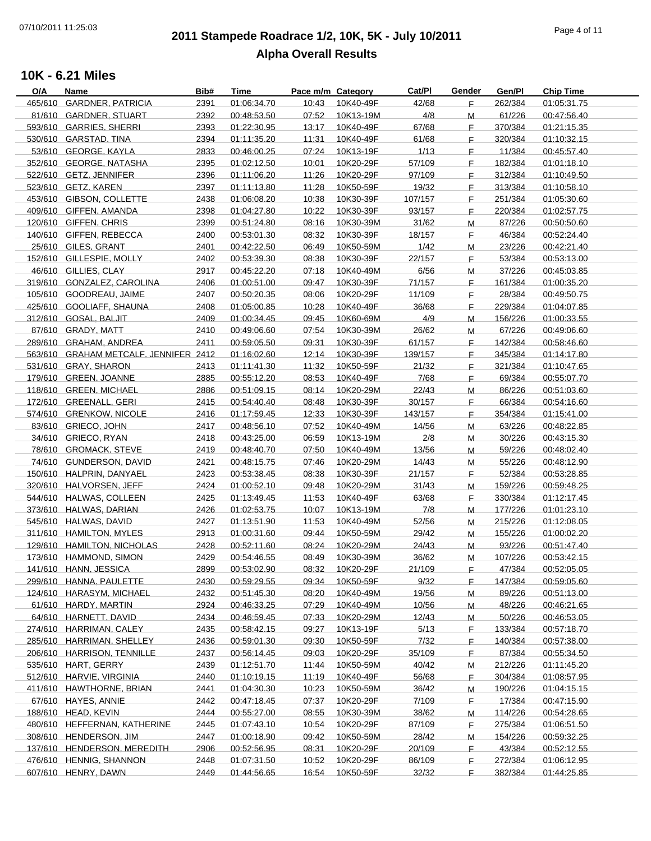# **2011 Stampede Roadrace 1/2, 10K, 5K - July 10/2011** 07/10/2011 11:25:03 Page 4 of 11 **Alpha Overall Results**

| O/A     | Name                                  | Bib# | Time        | Pace m/m Category |           | Cat/Pl  | Gender | Gen/Pl  | <b>Chip Time</b> |
|---------|---------------------------------------|------|-------------|-------------------|-----------|---------|--------|---------|------------------|
| 465/610 | <b>GARDNER, PATRICIA</b>              | 2391 | 01:06:34.70 | 10:43             | 10K40-49F | 42/68   | F.     | 262/384 | 01:05:31.75      |
|         | 81/610 GARDNER, STUART                | 2392 | 00:48:53.50 | 07:52             | 10K13-19M | 4/8     | м      | 61/226  | 00:47:56.40      |
|         | 593/610 GARRIES, SHERRI               | 2393 | 01:22:30.95 | 13:17             | 10K40-49F | 67/68   | F.     | 370/384 | 01:21:15.35      |
|         | 530/610 GARSTAD, TINA                 | 2394 | 01:11:35.20 | 11:31             | 10K40-49F | 61/68   | E      | 320/384 | 01:10:32.15      |
|         | 53/610 GEORGE, KAYLA                  | 2833 | 00:46:00.25 | 07:24             | 10K13-19F | 1/13    | E      | 11/384  | 00:45:57.40      |
|         | 352/610 GEORGE, NATASHA               | 2395 | 01:02:12.50 | 10:01             | 10K20-29F | 57/109  | F.     | 182/384 |                  |
|         |                                       |      |             |                   |           |         |        |         | 01:01:18.10      |
|         | 522/610 GETZ, JENNIFER                | 2396 | 01:11:06.20 | 11:26             | 10K20-29F | 97/109  | F.     | 312/384 | 01:10:49.50      |
|         | 523/610 GETZ, KAREN                   | 2397 | 01:11:13.80 | 11:28             | 10K50-59F | 19/32   | F.     | 313/384 | 01:10:58.10      |
|         | 453/610 GIBSON, COLLETTE              | 2438 | 01:06:08.20 | 10:38             | 10K30-39F | 107/157 | F.     | 251/384 | 01:05:30.60      |
|         | 409/610 GIFFEN, AMANDA                | 2398 | 01:04:27.80 | 10:22             | 10K30-39F | 93/157  | F.     | 220/384 | 01:02:57.75      |
|         | 120/610 GIFFEN, CHRIS                 | 2399 | 00:51:24.80 | 08:16             | 10K30-39M | 31/62   | M      | 87/226  | 00:50:50.60      |
|         | 140/610 GIFFEN, REBECCA               | 2400 | 00:53:01.30 | 08:32             | 10K30-39F | 18/157  | F.     | 46/384  | 00:52:24.40      |
|         | 25/610 GILES, GRANT                   | 2401 | 00:42:22.50 | 06:49             | 10K50-59M | 1/42    | M      | 23/226  | 00:42:21.40      |
|         | 152/610 GILLESPIE, MOLLY              | 2402 | 00:53:39.30 | 08:38             | 10K30-39F | 22/157  | F.     | 53/384  | 00:53:13.00      |
|         | 46/610 GILLIES, CLAY                  | 2917 | 00:45:22.20 | 07:18             | 10K40-49M | 6/56    | M      | 37/226  | 00:45:03.85      |
|         | 319/610 GONZALEZ, CAROLINA            | 2406 | 01:00:51.00 | 09:47             | 10K30-39F | 71/157  | F.     | 161/384 | 01:00:35.20      |
|         |                                       |      |             |                   |           |         |        |         |                  |
|         | 105/610 GOODREAU, JAIME               | 2407 | 00:50:20.35 | 08:06             | 10K20-29F | 11/109  | F.     | 28/384  | 00:49:50.75      |
|         | 425/610 GOOLIAFF, SHAUNA              | 2408 | 01:05:00.85 | 10:28             | 10K40-49F | 36/68   | F.     | 229/384 | 01:04:07.85      |
|         | 312/610 GOSAL, BALJIT                 | 2409 | 01:00:34.45 | 09:45             | 10K60-69M | 4/9     | M      | 156/226 | 01:00:33.55      |
|         | 87/610 GRADY, MATT                    | 2410 | 00:49:06.60 | 07:54             | 10K30-39M | 26/62   | М      | 67/226  | 00:49:06.60      |
|         | 289/610 GRAHAM, ANDREA                | 2411 | 00:59:05.50 | 09:31             | 10K30-39F | 61/157  | F.     | 142/384 | 00:58:46.60      |
|         | 563/610 GRAHAM METCALF, JENNIFER 2412 |      | 01:16:02.60 | 12:14             | 10K30-39F | 139/157 | F.     | 345/384 | 01:14:17.80      |
|         | 531/610 GRAY, SHARON                  | 2413 | 01:11:41.30 | 11:32             | 10K50-59F | 21/32   | F.     | 321/384 | 01:10:47.65      |
|         | 179/610 GREEN, JOANNE                 | 2885 | 00:55:12.20 | 08:53             | 10K40-49F | 7/68    | F.     | 69/384  | 00:55:07.70      |
|         | 118/610 GREEN, MICHAEL                | 2886 | 00:51:09.15 | 08:14             | 10K20-29M | 22/43   | м      | 86/226  | 00:51:03.60      |
|         | 172/610 GREENALL, GERI                | 2415 | 00:54:40.40 | 08:48             | 10K30-39F | 30/157  | F.     | 66/384  | 00:54:16.60      |
|         |                                       |      |             |                   |           |         |        |         |                  |
|         | 574/610 GRENKOW, NICOLE               | 2416 | 01:17:59.45 | 12:33             | 10K30-39F | 143/157 | F.     | 354/384 | 01:15:41.00      |
|         | 83/610 GRIECO, JOHN                   | 2417 | 00:48:56.10 | 07:52             | 10K40-49M | 14/56   | M      | 63/226  | 00:48:22.85      |
|         | 34/610 GRIECO, RYAN                   | 2418 | 00:43:25.00 | 06:59             | 10K13-19M | 2/8     | M      | 30/226  | 00:43:15.30      |
|         | 78/610 GROMACK, STEVE                 | 2419 | 00:48:40.70 | 07:50             | 10K40-49M | 13/56   | M      | 59/226  | 00:48:02.40      |
|         | 74/610 GUNDERSON, DAVID               | 2421 | 00:48:15.75 | 07:46             | 10K20-29M | 14/43   | M      | 55/226  | 00:48:12.90      |
| 150/610 | HALPRIN, DANYAEL                      | 2423 | 00:53:38.45 | 08:38             | 10K30-39F | 21/157  | F.     | 52/384  | 00:53:28.85      |
|         | 320/610 HALVORSEN, JEFF               | 2424 | 01:00:52.10 | 09:48             | 10K20-29M | 31/43   | M      | 159/226 | 00:59:48.25      |
|         | 544/610 HALWAS, COLLEEN               | 2425 | 01:13:49.45 | 11:53             | 10K40-49F | 63/68   | F.     | 330/384 | 01:12:17.45      |
|         | 373/610 HALWAS, DARIAN                | 2426 | 01:02:53.75 | 10:07             | 10K13-19M | 7/8     | M      | 177/226 | 01:01:23.10      |
|         | 545/610 HALWAS, DAVID                 | 2427 | 01:13:51.90 | 11:53             | 10K40-49M | 52/56   | М      | 215/226 | 01:12:08.05      |
|         | 311/610 HAMILTON, MYLES               | 2913 | 01:00:31.60 | 09:44             | 10K50-59M | 29/42   | M      | 155/226 | 01:00:02.20      |
|         |                                       |      |             |                   |           |         |        |         |                  |
|         | 129/610 HAMILTON, NICHOLAS            | 2428 | 00:52:11.60 | 08:24             | 10K20-29M | 24/43   | M      | 93/226  | 00:51:47.40      |
|         | 173/610 HAMMOND, SIMON                | 2429 | 00:54:46.55 | 08:49             | 10K30-39M | 36/62   | M      | 107/226 | 00:53:42.15      |
|         | 141/610 HANN, JESSICA                 | 2899 | 00:53:02.90 | 08:32             | 10K20-29F | 21/109  | F      | 47/384  | 00:52:05.05      |
|         | 299/610 HANNA, PAULETTE               | 2430 | 00:59:29.55 | 09:34             | 10K50-59F | 9/32    | F.     | 147/384 | 00:59:05.60      |
|         | 124/610 HARASYM, MICHAEL              | 2432 | 00:51:45.30 | 08:20             | 10K40-49M | 19/56   | M      | 89/226  | 00:51:13.00      |
|         | 61/610 HARDY, MARTIN                  | 2924 | 00:46:33.25 | 07:29             | 10K40-49M | 10/56   | M      | 48/226  | 00:46:21.65      |
|         | 64/610 HARNETT, DAVID                 | 2434 | 00:46:59.45 | 07:33             | 10K20-29M | 12/43   | M      | 50/226  | 00:46:53.05      |
|         | 274/610 HARRIMAN, CALEY               | 2435 | 00:58:42.15 | 09:27             | 10K13-19F | 5/13    | F      | 133/384 | 00:57:18.70      |
|         | 285/610 HARRIMAN, SHELLEY             | 2436 | 00:59:01.30 | 09:30             | 10K50-59F | 7/32    | F      | 140/384 | 00:57:38.00      |
|         | 206/610 HARRISON, TENNILLE            | 2437 | 00:56:14.45 | 09:03             | 10K20-29F | 35/109  | F      | 87/384  | 00:55:34.50      |
|         | 535/610 HART, GERRY                   | 2439 | 01:12:51.70 | 11:44             | 10K50-59M | 40/42   |        | 212/226 | 01:11:45.20      |
|         |                                       |      |             |                   |           |         | Μ      |         |                  |
|         | 512/610 HARVIE, VIRGINIA              | 2440 | 01:10:19.15 | 11:19             | 10K40-49F | 56/68   | F.     | 304/384 | 01:08:57.95      |
|         | 411/610 HAWTHORNE, BRIAN              | 2441 | 01:04:30.30 | 10:23             | 10K50-59M | 36/42   | M      | 190/226 | 01:04:15.15      |
|         | 67/610 HAYES, ANNIE                   | 2442 | 00:47:18.45 | 07:37             | 10K20-29F | 7/109   | F.     | 17/384  | 00:47:15.90      |
|         | 188/610 HEAD, KEVIN                   | 2444 | 00:55:27.00 | 08:55             | 10K30-39M | 38/62   | M      | 114/226 | 00:54:28.65      |
|         | 480/610 HEFFERNAN, KATHERINE          | 2445 | 01:07:43.10 | 10:54             | 10K20-29F | 87/109  | F.     | 275/384 | 01:06:51.50      |
|         | 308/610 HENDERSON, JIM                | 2447 | 01:00:18.90 | 09:42             | 10K50-59M | 28/42   | M      | 154/226 | 00:59:32.25      |
|         | 137/610 HENDERSON, MEREDITH           | 2906 | 00:52:56.95 | 08:31             | 10K20-29F | 20/109  | F.     | 43/384  | 00:52:12.55      |
|         | 476/610 HENNIG, SHANNON               | 2448 | 01:07:31.50 | 10:52             | 10K20-29F | 86/109  | F      | 272/384 | 01:06:12.95      |
|         | 607/610 HENRY, DAWN                   | 2449 | 01:44:56.65 | 16:54             | 10K50-59F | 32/32   | F.     | 382/384 | 01:44:25.85      |
|         |                                       |      |             |                   |           |         |        |         |                  |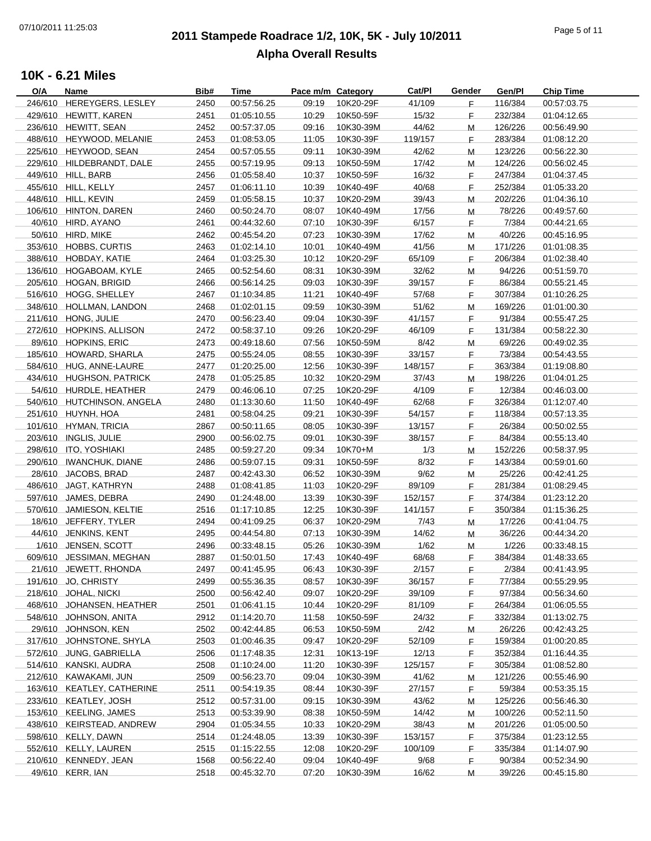# **2011 Stampede Roadrace 1/2, 10K, 5K - July 10/2011** 07/10/2011 11:25:03 Page 5 of 11 **Alpha Overall Results**

| O/A | Name                       | Bib# | <b>Time</b> | Pace m/m Category |           | Cat/Pl  | Gender | Gen/Pl  | <b>Chip Time</b> |
|-----|----------------------------|------|-------------|-------------------|-----------|---------|--------|---------|------------------|
|     | 246/610 HEREYGERS, LESLEY  | 2450 | 00:57:56.25 | 09:19             | 10K20-29F | 41/109  | F.     | 116/384 | 00:57:03.75      |
|     | 429/610 HEWITT, KAREN      | 2451 | 01:05:10.55 | 10:29             | 10K50-59F | 15/32   | F.     | 232/384 | 01:04:12.65      |
|     | 236/610 HEWITT, SEAN       | 2452 | 00:57:37.05 | 09:16             | 10K30-39M | 44/62   | M      | 126/226 | 00:56:49.90      |
|     | 488/610 HEYWOOD, MELANIE   | 2453 | 01:08:53.05 | 11:05             | 10K30-39F | 119/157 | F.     | 283/384 | 01:08:12.20      |
|     | 225/610 HEYWOOD, SEAN      | 2454 | 00:57:05.55 | 09:11             | 10K30-39M | 42/62   | M      | 123/226 | 00:56:22.30      |
|     | 229/610 HILDEBRANDT, DALE  | 2455 | 00:57:19.95 | 09:13             | 10K50-59M | 17/42   |        | 124/226 |                  |
|     |                            |      |             |                   |           |         | M      |         | 00:56:02.45      |
|     | 449/610 HILL, BARB         | 2456 | 01:05:58.40 | 10:37             | 10K50-59F | 16/32   | F.     | 247/384 | 01:04:37.45      |
|     | 455/610 HILL, KELLY        | 2457 | 01:06:11.10 | 10:39             | 10K40-49F | 40/68   | F.     | 252/384 | 01:05:33.20      |
|     | 448/610 HILL, KEVIN        | 2459 | 01:05:58.15 | 10:37             | 10K20-29M | 39/43   | M      | 202/226 | 01:04:36.10      |
|     | 106/610 HINTON, DAREN      | 2460 | 00:50:24.70 | 08:07             | 10K40-49M | 17/56   | M      | 78/226  | 00:49:57.60      |
|     | 40/610 HIRD, AYANO         | 2461 | 00:44:32.60 | 07:10             | 10K30-39F | 6/157   | F.     | 7/384   | 00:44:21.65      |
|     | 50/610 HIRD, MIKE          | 2462 | 00:45:54.20 | 07:23             | 10K30-39M | 17/62   | M      | 40/226  | 00:45:16.95      |
|     | 353/610 HOBBS, CURTIS      | 2463 | 01:02:14.10 | 10:01             | 10K40-49M | 41/56   | M      | 171/226 | 01:01:08.35      |
|     | 388/610 HOBDAY, KATIE      | 2464 | 01:03:25.30 | 10:12             | 10K20-29F | 65/109  | F.     | 206/384 | 01:02:38.40      |
|     | 136/610 HOGABOAM, KYLE     | 2465 | 00:52:54.60 | 08:31             | 10K30-39M | 32/62   | M      | 94/226  | 00:51:59.70      |
|     | 205/610 HOGAN, BRIGID      | 2466 | 00:56:14.25 | 09:03             | 10K30-39F | 39/157  | F.     | 86/384  | 00:55:21.45      |
|     |                            |      |             |                   |           |         |        |         |                  |
|     | 516/610 HOGG, SHELLEY      | 2467 | 01:10:34.85 | 11:21             | 10K40-49F | 57/68   | F.     | 307/384 | 01:10:26.25      |
|     | 348/610 HOLLMAN, LANDON    | 2468 | 01:02:01.15 | 09:59             | 10K30-39M | 51/62   | M      | 169/226 | 01:01:00.30      |
|     | 211/610 HONG, JULIE        | 2470 | 00:56:23.40 | 09:04             | 10K30-39F | 41/157  | F.     | 91/384  | 00:55:47.25      |
|     | 272/610 HOPKINS, ALLISON   | 2472 | 00:58:37.10 | 09:26             | 10K20-29F | 46/109  | F.     | 131/384 | 00:58:22.30      |
|     | 89/610 HOPKINS, ERIC       | 2473 | 00:49:18.60 | 07:56             | 10K50-59M | 8/42    | M      | 69/226  | 00:49:02.35      |
|     | 185/610 HOWARD, SHARLA     | 2475 | 00:55:24.05 | 08:55             | 10K30-39F | 33/157  | F.     | 73/384  | 00:54:43.55      |
|     | 584/610 HUG, ANNE-LAURE    | 2477 | 01:20:25.00 | 12:56             | 10K30-39F | 148/157 | F.     | 363/384 | 01:19:08.80      |
|     | 434/610 HUGHSON, PATRICK   | 2478 | 01:05:25.85 | 10:32             | 10K20-29M | 37/43   | M      | 198/226 | 01:04:01.25      |
|     | 54/610 HURDLE, HEATHER     | 2479 | 00:46:06.10 | 07:25             | 10K20-29F | 4/109   | F.     | 12/384  | 00:46:03.00      |
|     | 540/610 HUTCHINSON, ANGELA | 2480 | 01:13:30.60 | 11:50             | 10K40-49F | 62/68   | F.     | 326/384 | 01:12:07.40      |
|     |                            |      |             |                   |           |         |        |         |                  |
|     | 251/610 HUYNH, HOA         | 2481 | 00:58:04.25 | 09:21             | 10K30-39F | 54/157  | F.     | 118/384 | 00:57:13.35      |
|     | 101/610 HYMAN, TRICIA      | 2867 | 00:50:11.65 | 08:05             | 10K30-39F | 13/157  | F.     | 26/384  | 00:50:02.55      |
|     | 203/610 INGLIS, JULIE      | 2900 | 00:56:02.75 | 09:01             | 10K30-39F | 38/157  | F.     | 84/384  | 00:55:13.40      |
|     | 298/610 ITO, YOSHIAKI      | 2485 | 00:59:27.20 | 09:34             | 10K70+M   | 1/3     | M      | 152/226 | 00:58:37.95      |
|     | 290/610 IWANCHUK, DIANE    | 2486 | 00:59:07.15 | 09:31             | 10K50-59F | 8/32    | F      | 143/384 | 00:59:01.60      |
|     | 28/610 JACOBS, BRAD        | 2487 | 00:42:43.30 | 06:52             | 10K30-39M | 9/62    | M      | 25/226  | 00:42:41.25      |
|     | 486/610 JAGT, KATHRYN      | 2488 | 01:08:41.85 | 11:03             | 10K20-29F | 89/109  | F.     | 281/384 | 01:08:29.45      |
|     | 597/610 JAMES, DEBRA       | 2490 | 01:24:48.00 | 13:39             | 10K30-39F | 152/157 | F.     | 374/384 | 01:23:12.20      |
|     | 570/610 JAMIESON, KELTIE   | 2516 | 01:17:10.85 | 12:25             | 10K30-39F | 141/157 | F.     | 350/384 | 01:15:36.25      |
|     | 18/610 JEFFERY, TYLER      | 2494 | 00:41:09.25 | 06:37             | 10K20-29M | 7/43    | M      | 17/226  | 00:41:04.75      |
|     | 44/610 JENKINS, KENT       | 2495 | 00:44:54.80 | 07:13             | 10K30-39M | 14/62   | M      | 36/226  | 00:44:34.20      |
|     |                            |      |             |                   |           |         |        |         |                  |
|     | 1/610 JENSEN, SCOTT        | 2496 | 00:33:48.15 | 05:26             | 10K30-39M | 1/62    | M      | 1/226   | 00:33:48.15      |
|     | 609/610 JESSIMAN, MEGHAN   | 2887 | 01:50:01.50 | 17:43             | 10K40-49F | 68/68   | F.     | 384/384 | 01:48:33.65      |
|     | 21/610 JEWETT, RHONDA      | 2497 | 00:41:45.95 | 06:43             | 10K30-39F | 2/157   | F      | 2/384   | 00:41:43.95      |
|     | 191/610 JO, CHRISTY        | 2499 | 00:55:36.35 | 08:57             | 10K30-39F | 36/157  | F.     | 77/384  | 00:55:29.95      |
|     | 218/610 JOHAL, NICKI       | 2500 | 00:56:42.40 | 09:07             | 10K20-29F | 39/109  | F      | 97/384  | 00:56:34.60      |
|     | 468/610 JOHANSEN, HEATHER  | 2501 | 01:06:41.15 | 10:44             | 10K20-29F | 81/109  | F.     | 264/384 | 01:06:05.55      |
|     | 548/610 JOHNSON, ANITA     | 2912 | 01:14:20.70 | 11:58             | 10K50-59F | 24/32   | F      | 332/384 | 01:13:02.75      |
|     | 29/610 JOHNSON, KEN        | 2502 | 00:42:44.85 | 06:53             | 10K50-59M | 2/42    | M      | 26/226  | 00:42:43.25      |
|     | 317/610 JOHNSTONE, SHYLA   | 2503 | 01:00:46.35 | 09:47             | 10K20-29F | 52/109  | F.     | 159/384 | 01:00:20.85      |
|     | 572/610 JUNG, GABRIELLA    | 2506 | 01:17:48.35 | 12:31             | 10K13-19F | 12/13   | F.     | 352/384 | 01:16:44.35      |
|     | 514/610 KANSKI, AUDRA      | 2508 | 01:10:24.00 | 11:20             | 10K30-39F |         |        | 305/384 |                  |
|     |                            |      |             |                   |           | 125/157 | F.     |         | 01:08:52.80      |
|     | 212/610 KAWAKAMI, JUN      | 2509 | 00:56:23.70 | 09:04             | 10K30-39M | 41/62   | M      | 121/226 | 00:55:46.90      |
|     | 163/610 KEATLEY, CATHERINE | 2511 | 00:54:19.35 | 08:44             | 10K30-39F | 27/157  | F.     | 59/384  | 00:53:35.15      |
|     | 233/610 KEATLEY, JOSH      | 2512 | 00:57:31.00 | 09:15             | 10K30-39M | 43/62   | M      | 125/226 | 00:56:46.30      |
|     | 153/610 KEELING, JAMES     | 2513 | 00:53:39.90 | 08:38             | 10K50-59M | 14/42   | M      | 100/226 | 00:52:11.50      |
|     | 438/610 KEIRSTEAD, ANDREW  | 2904 | 01:05:34.55 | 10:33             | 10K20-29M | 38/43   | M      | 201/226 | 01:05:00.50      |
|     | 598/610 KELLY, DAWN        | 2514 | 01:24:48.05 | 13:39             | 10K30-39F | 153/157 | F      | 375/384 | 01:23:12.55      |
|     | 552/610 KELLY, LAUREN      | 2515 | 01:15:22.55 | 12:08             | 10K20-29F | 100/109 | F.     | 335/384 | 01:14:07.90      |
|     | 210/610 KENNEDY, JEAN      | 1568 | 00:56:22.40 | 09:04             | 10K40-49F | 9/68    | F.     | 90/384  | 00:52:34.90      |
|     | 49/610 KERR, IAN           | 2518 | 00:45:32.70 | 07:20             | 10K30-39M | 16/62   | M      | 39/226  | 00:45:15.80      |
|     |                            |      |             |                   |           |         |        |         |                  |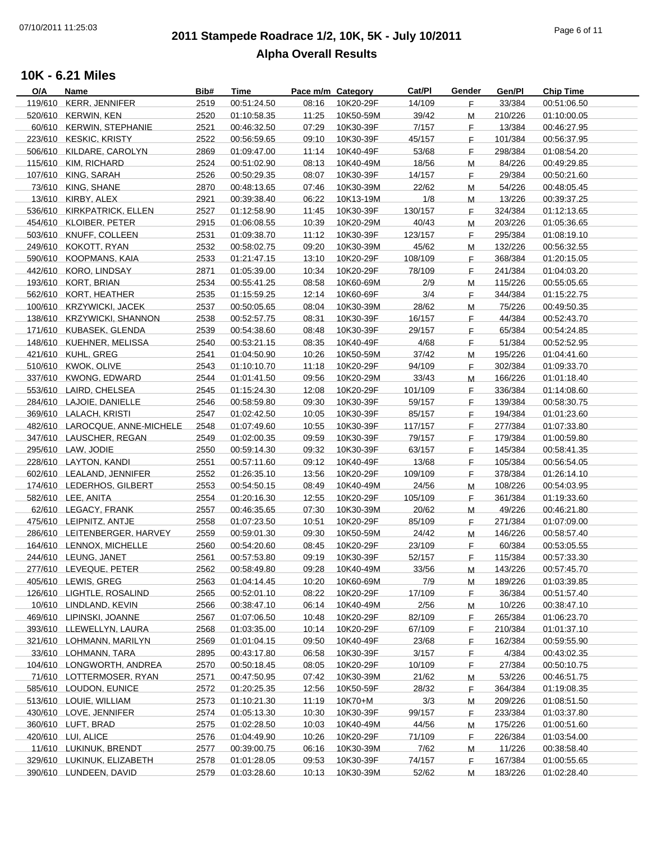# **2011 Stampede Roadrace 1/2, 10K, 5K - July 10/2011** 07/10/2011 11:25:03 Page 6 of 11 **Alpha Overall Results**

| O/A     | Name                           | Bib# | <b>Time</b> | Pace m/m Category |           | Cat/Pl  | Gender | Gen/Pl  | <b>Chip Time</b> |
|---------|--------------------------------|------|-------------|-------------------|-----------|---------|--------|---------|------------------|
| 119/610 | KERR, JENNIFER                 | 2519 | 00:51:24.50 | 08:16             | 10K20-29F | 14/109  | F.     | 33/384  | 00:51:06.50      |
|         | 520/610 KERWIN, KEN            | 2520 | 01:10:58.35 | 11:25             | 10K50-59M | 39/42   | м      | 210/226 | 01:10:00.05      |
|         | 60/610 KERWIN, STEPHANIE       | 2521 | 00:46:32.50 | 07:29             | 10K30-39F | 7/157   | F.     | 13/384  | 00:46:27.95      |
|         | 223/610 KESKIC, KRISTY         | 2522 | 00:56:59.65 | 09:10             | 10K30-39F | 45/157  | F.     | 101/384 | 00:56:37.95      |
|         | 506/610 KILDARE, CAROLYN       | 2869 | 01:09:47.00 | 11:14             | 10K40-49F | 53/68   | F.     | 298/384 | 01:08:54.20      |
|         | 115/610 KIM, RICHARD           | 2524 | 00:51:02.90 | 08:13             | 10K40-49M | 18/56   | M      | 84/226  | 00:49:29.85      |
|         | 107/610 KING, SARAH            | 2526 | 00:50:29.35 | 08:07             | 10K30-39F | 14/157  | F.     | 29/384  |                  |
|         |                                |      |             |                   |           |         |        |         | 00:50:21.60      |
| 73/610  | KING, SHANE                    | 2870 | 00:48:13.65 | 07:46             | 10K30-39M | 22/62   | M      | 54/226  | 00:48:05.45      |
|         | 13/610 KIRBY, ALEX             | 2921 | 00:39:38.40 | 06:22             | 10K13-19M | 1/8     | M      | 13/226  | 00:39:37.25      |
|         | 536/610 KIRKPATRICK, ELLEN     | 2527 | 01:12:58.90 | 11:45             | 10K30-39F | 130/157 | F.     | 324/384 | 01:12:13.65      |
|         | 454/610 KLOIBER, PETER         | 2915 | 01:06:08.55 | 10:39             | 10K20-29M | 40/43   | M      | 203/226 | 01:05:36.65      |
|         | 503/610 KNUFF, COLLEEN         | 2531 | 01:09:38.70 | 11:12             | 10K30-39F | 123/157 | F.     | 295/384 | 01:08:19.10      |
|         | 249/610 KOKOTT, RYAN           | 2532 | 00:58:02.75 | 09:20             | 10K30-39M | 45/62   | M      | 132/226 | 00:56:32.55      |
|         | 590/610 KOOPMANS, KAIA         | 2533 | 01:21:47.15 | 13:10             | 10K20-29F | 108/109 | F.     | 368/384 | 01:20:15.05      |
|         | 442/610 KORO, LINDSAY          | 2871 | 01:05:39.00 | 10:34             | 10K20-29F | 78/109  | F.     | 241/384 | 01:04:03.20      |
|         | 193/610 KORT, BRIAN            | 2534 | 00:55:41.25 | 08:58             | 10K60-69M | 2/9     | M      | 115/226 | 00:55:05.65      |
|         | 562/610 KORT, HEATHER          | 2535 | 01:15:59.25 | 12:14             | 10K60-69F | 3/4     | F.     | 344/384 | 01:15:22.75      |
|         | 100/610 KRZYWICKI, JACEK       | 2537 | 00:50:05.65 | 08:04             | 10K30-39M | 28/62   | M      | 75/226  | 00:49:50.35      |
|         | 138/610 KRZYWICKI, SHANNON     | 2538 | 00:52:57.75 | 08:31             | 10K30-39F | 16/157  | F.     | 44/384  | 00:52:43.70      |
|         | 171/610 KUBASEK, GLENDA        | 2539 | 00:54:38.60 | 08:48             | 10K30-39F | 29/157  | F.     | 65/384  | 00:54:24.85      |
|         | 148/610 KUEHNER, MELISSA       | 2540 | 00:53:21.15 | 08:35             | 10K40-49F | 4/68    | F.     | 51/384  | 00:52:52.95      |
|         | 421/610 KUHL, GREG             | 2541 | 01:04:50.90 | 10:26             | 10K50-59M | 37/42   | M      | 195/226 | 01:04:41.60      |
|         | 510/610 KWOK, OLIVE            | 2543 | 01:10:10.70 | 11:18             | 10K20-29F | 94/109  | F.     | 302/384 | 01:09:33.70      |
|         | 337/610 KWONG, EDWARD          |      |             |                   |           |         |        |         |                  |
|         |                                | 2544 | 01:01:41.50 | 09:56             | 10K20-29M | 33/43   | М      | 166/226 | 01:01:18.40      |
|         | 553/610 LAIRD, CHELSEA         | 2545 | 01:15:24.30 | 12:08             | 10K20-29F | 101/109 | F.     | 336/384 | 01:14:08.60      |
|         | 284/610 LAJOIE, DANIELLE       | 2546 | 00:58:59.80 | 09:30             | 10K30-39F | 59/157  | F.     | 139/384 | 00:58:30.75      |
|         | 369/610 LALACH, KRISTI         | 2547 | 01:02:42.50 | 10:05             | 10K30-39F | 85/157  | F.     | 194/384 | 01:01:23.60      |
|         | 482/610 LAROCQUE, ANNE-MICHELE | 2548 | 01:07:49.60 | 10:55             | 10K30-39F | 117/157 | F.     | 277/384 | 01:07:33.80      |
|         | 347/610 LAUSCHER, REGAN        | 2549 | 01:02:00.35 | 09:59             | 10K30-39F | 79/157  | F.     | 179/384 | 01:00:59.80      |
|         | 295/610 LAW, JODIE             | 2550 | 00:59:14.30 | 09:32             | 10K30-39F | 63/157  | F.     | 145/384 | 00:58:41.35      |
|         | 228/610 LAYTON, KANDI          | 2551 | 00:57:11.60 | 09:12             | 10K40-49F | 13/68   | F.     | 105/384 | 00:56:54.05      |
|         | 602/610 LEALAND, JENNIFER      | 2552 | 01:26:35.10 | 13:56             | 10K20-29F | 109/109 | F.     | 378/384 | 01:26:14.10      |
|         | 174/610 LEDERHOS, GILBERT      | 2553 | 00:54:50.15 | 08:49             | 10K40-49M | 24/56   | M      | 108/226 | 00:54:03.95      |
|         | 582/610 LEE, ANITA             | 2554 | 01:20:16.30 | 12:55             | 10K20-29F | 105/109 | F.     | 361/384 | 01:19:33.60      |
|         | 62/610 LEGACY, FRANK           | 2557 | 00:46:35.65 | 07:30             | 10K30-39M | 20/62   | M      | 49/226  | 00:46:21.80      |
|         | 475/610 LEIPNITZ, ANTJE        | 2558 | 01:07:23.50 | 10:51             | 10K20-29F | 85/109  | F.     | 271/384 | 01:07:09.00      |
|         | 286/610 LEITENBERGER, HARVEY   | 2559 | 00:59:01.30 | 09:30             | 10K50-59M | 24/42   | M      | 146/226 | 00:58:57.40      |
|         | 164/610 LENNOX, MICHELLE       | 2560 | 00:54:20.60 | 08:45             | 10K20-29F | 23/109  | E      | 60/384  | 00:53:05.55      |
|         | 244/610 LEUNG, JANET           | 2561 | 00:57:53.80 | 09:19             | 10K30-39F | 52/157  | F.     | 115/384 | 00:57:33.30      |
|         | 277/610 LEVEQUE, PETER         | 2562 | 00:58:49.80 | 09:28             | 10K40-49M | 33/56   | м      | 143/226 | 00:57:45.70      |
|         | 405/610 LEWIS, GREG            | 2563 | 01:04:14.45 | 10:20             | 10K60-69M | 7/9     | M      | 189/226 | 01:03:39.85      |
|         | 126/610 LIGHTLE, ROSALIND      | 2565 | 00:52:01.10 | 08:22             | 10K20-29F | 17/109  |        | 36/384  | 00:51:57.40      |
|         | 10/610 LINDLAND, KEVIN         |      |             |                   |           |         | F.     |         | 00:38:47.10      |
|         |                                | 2566 | 00:38:47.10 | 06:14             | 10K40-49M | 2/56    | м      | 10/226  |                  |
|         | 469/610 LIPINSKI, JOANNE       | 2567 | 01:07:06.50 | 10:48             | 10K20-29F | 82/109  | F      | 265/384 | 01:06:23.70      |
|         | 393/610 LLEWELLYN, LAURA       | 2568 | 01:03:35.00 | 10:14             | 10K20-29F | 67/109  | F.     | 210/384 | 01:01:37.10      |
|         | 321/610 LOHMANN, MARILYN       | 2569 | 01:01:04.15 | 09:50             | 10K40-49F | 23/68   | F      | 162/384 | 00:59:55.90      |
|         | 33/610 LOHMANN, TARA           | 2895 | 00:43:17.80 | 06:58             | 10K30-39F | 3/157   | E      | 4/384   | 00:43:02.35      |
|         | 104/610 LONGWORTH, ANDREA      | 2570 | 00:50:18.45 | 08:05             | 10K20-29F | 10/109  | F.     | 27/384  | 00:50:10.75      |
|         | 71/610 LOTTERMOSER, RYAN       | 2571 | 00:47:50.95 | 07:42             | 10K30-39M | 21/62   | M      | 53/226  | 00:46:51.75      |
|         | 585/610 LOUDON, EUNICE         | 2572 | 01:20:25.35 | 12:56             | 10K50-59F | 28/32   | F.     | 364/384 | 01:19:08.35      |
|         | 513/610 LOUIE, WILLIAM         | 2573 | 01:10:21.30 | 11:19             | 10K70+M   | 3/3     | М      | 209/226 | 01:08:51.50      |
|         | 430/610 LOVE, JENNIFER         | 2574 | 01:05:13.30 | 10:30             | 10K30-39F | 99/157  | F.     | 233/384 | 01:03:37.80      |
|         | 360/610 LUFT, BRAD             | 2575 | 01:02:28.50 | 10:03             | 10K40-49M | 44/56   | M      | 175/226 | 01:00:51.60      |
|         | 420/610 LUI, ALICE             | 2576 | 01:04:49.90 | 10:26             | 10K20-29F | 71/109  | F.     | 226/384 | 01:03:54.00      |
|         | 11/610 LUKINUK, BRENDT         | 2577 | 00:39:00.75 | 06:16             | 10K30-39M | 7/62    | M      | 11/226  | 00:38:58.40      |
|         | 329/610 LUKINUK, ELIZABETH     | 2578 | 01:01:28.05 | 09:53             | 10K30-39F | 74/157  | F.     | 167/384 | 01:00:55.65      |
|         | 390/610 LUNDEEN, DAVID         | 2579 | 01:03:28.60 | 10:13             | 10K30-39M | 52/62   | M      | 183/226 | 01:02:28.40      |
|         |                                |      |             |                   |           |         |        |         |                  |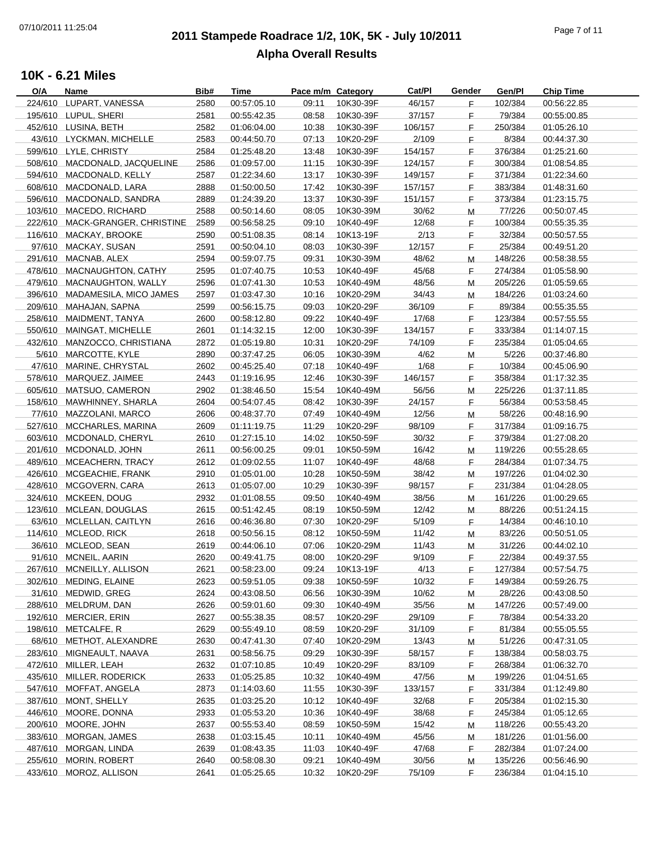# **2011 Stampede Roadrace 1/2, 10K, 5K - July 10/2011** 07/10/2011 11:25:04 Page 7 of 11 **Alpha Overall Results**

| O/A     | Name                            | Bib# | Time        | Pace m/m Category |           | Cat/Pl  | Gender | Gen/Pl  | <b>Chip Time</b> |
|---------|---------------------------------|------|-------------|-------------------|-----------|---------|--------|---------|------------------|
| 224/610 | LUPART, VANESSA                 | 2580 | 00:57:05.10 | 09:11             | 10K30-39F | 46/157  | F.     | 102/384 | 00:56:22.85      |
|         | 195/610 LUPUL, SHERI            | 2581 | 00:55:42.35 | 08:58             | 10K30-39F | 37/157  | F.     | 79/384  | 00:55:00.85      |
|         | 452/610 LUSINA, BETH            | 2582 | 01:06:04.00 | 10:38             | 10K30-39F | 106/157 | F.     | 250/384 | 01:05:26.10      |
|         | 43/610 LYCKMAN, MICHELLE        | 2583 | 00:44:50.70 | 07:13             | 10K20-29F | 2/109   | E      | 8/384   | 00:44:37.30      |
|         | 599/610 LYLE, CHRISTY           | 2584 | 01:25:48.20 | 13:48             | 10K30-39F | 154/157 | F.     | 376/384 | 01:25:21.60      |
|         | 508/610 MACDONALD, JACQUELINE   | 2586 | 01:09:57.00 | 11:15             | 10K30-39F | 124/157 | E      | 300/384 | 01:08:54.85      |
|         | 594/610 MACDONALD, KELLY        | 2587 | 01:22:34.60 | 13:17             | 10K30-39F | 149/157 | F.     | 371/384 | 01:22:34.60      |
|         | 608/610 MACDONALD, LARA         | 2888 | 01:50:00.50 | 17:42             | 10K30-39F | 157/157 | F.     | 383/384 | 01:48:31.60      |
|         |                                 |      |             |                   |           |         |        | 373/384 |                  |
|         | 596/610 MACDONALD, SANDRA       | 2889 | 01:24:39.20 | 13:37             | 10K30-39F | 151/157 | F.     |         | 01:23:15.75      |
|         | 103/610 MACEDO, RICHARD         | 2588 | 00:50:14.60 | 08:05             | 10K30-39M | 30/62   | м      | 77/226  | 00:50:07.45      |
|         | 222/610 MACK-GRANGER, CHRISTINE | 2589 | 00:56:58.25 | 09:10             | 10K40-49F | 12/68   | F.     | 100/384 | 00:55:35.35      |
|         | 116/610 MACKAY, BROOKE          | 2590 | 00:51:08.35 | 08:14             | 10K13-19F | 2/13    | F.     | 32/384  | 00:50:57.55      |
|         | 97/610 MACKAY, SUSAN            | 2591 | 00:50:04.10 | 08:03             | 10K30-39F | 12/157  | F.     | 25/384  | 00:49:51.20      |
|         | 291/610 MACNAB, ALEX            | 2594 | 00:59:07.75 | 09:31             | 10K30-39M | 48/62   | M      | 148/226 | 00:58:38.55      |
|         | 478/610 MACNAUGHTON, CATHY      | 2595 | 01:07:40.75 | 10:53             | 10K40-49F | 45/68   | F.     | 274/384 | 01:05:58.90      |
|         | 479/610 MACNAUGHTON, WALLY      | 2596 | 01:07:41.30 | 10:53             | 10K40-49M | 48/56   | M      | 205/226 | 01:05:59.65      |
|         | 396/610 MADAMESILA, MICO JAMES  | 2597 | 01:03:47.30 | 10:16             | 10K20-29M | 34/43   | M      | 184/226 | 01:03:24.60      |
|         | 209/610 MAHAJAN, SAPNA          | 2599 | 00:56:15.75 | 09:03             | 10K20-29F | 36/109  | F.     | 89/384  | 00:55:35.55      |
|         | 258/610 MAIDMENT, TANYA         | 2600 | 00:58:12.80 | 09:22             | 10K40-49F | 17/68   | F.     | 123/384 | 00:57:55.55      |
|         | 550/610 MAINGAT, MICHELLE       | 2601 | 01:14:32.15 | 12:00             | 10K30-39F | 134/157 | E      | 333/384 | 01:14:07.15      |
|         | 432/610 MANZOCCO, CHRISTIANA    | 2872 | 01:05:19.80 | 10:31             | 10K20-29F | 74/109  | E      | 235/384 | 01:05:04.65      |
|         | 5/610 MARCOTTE, KYLE            | 2890 | 00:37:47.25 | 06:05             | 10K30-39M | 4/62    | M      | 5/226   | 00:37:46.80      |
|         | 47/610 MARINE, CHRYSTAL         | 2602 | 00:45:25.40 | 07:18             | 10K40-49F | 1/68    | F.     | 10/384  | 00:45:06.90      |
|         | 578/610 MARQUEZ, JAIMEE         | 2443 | 01:19:16.95 | 12:46             | 10K30-39F | 146/157 | F.     | 358/384 | 01:17:32.35      |
|         | 605/610 MATSUO, CAMERON         | 2902 | 01:38:46.50 | 15:54             | 10K40-49M | 56/56   | М      | 225/226 | 01:37:11.85      |
|         | 158/610 MAWHINNEY, SHARLA       | 2604 | 00:54:07.45 | 08:42             | 10K30-39F | 24/157  |        | 56/384  | 00:53:58.45      |
|         |                                 |      |             |                   |           |         | F.     |         |                  |
|         | 77/610 MAZZOLANI, MARCO         | 2606 | 00:48:37.70 | 07:49             | 10K40-49M | 12/56   | М      | 58/226  | 00:48:16.90      |
|         | 527/610 MCCHARLES, MARINA       | 2609 | 01:11:19.75 | 11:29             | 10K20-29F | 98/109  | F.     | 317/384 | 01:09:16.75      |
|         | 603/610 MCDONALD, CHERYL        | 2610 | 01:27:15.10 | 14:02             | 10K50-59F | 30/32   | F.     | 379/384 | 01:27:08.20      |
|         | 201/610 MCDONALD, JOHN          | 2611 | 00:56:00.25 | 09:01             | 10K50-59M | 16/42   | M      | 119/226 | 00:55:28.65      |
|         | 489/610 MCEACHERN, TRACY        | 2612 | 01:09:02.55 | 11:07             | 10K40-49F | 48/68   | F.     | 284/384 | 01:07:34.75      |
|         | 426/610 MCGEACHIE, FRANK        | 2910 | 01:05:01.00 | 10:28             | 10K50-59M | 38/42   | M      | 197/226 | 01:04:02.30      |
|         | 428/610 MCGOVERN, CARA          | 2613 | 01:05:07.00 | 10:29             | 10K30-39F | 98/157  | F.     | 231/384 | 01:04:28.05      |
|         | 324/610 MCKEEN, DOUG            | 2932 | 01:01:08.55 | 09:50             | 10K40-49M | 38/56   | м      | 161/226 | 01:00:29.65      |
|         | 123/610 MCLEAN, DOUGLAS         | 2615 | 00:51:42.45 | 08:19             | 10K50-59M | 12/42   | M      | 88/226  | 00:51:24.15      |
|         | 63/610 MCLELLAN, CAITLYN        | 2616 | 00:46:36.80 | 07:30             | 10K20-29F | 5/109   | F.     | 14/384  | 00:46:10.10      |
|         | 114/610 MCLEOD, RICK            | 2618 | 00:50:56.15 | 08:12             | 10K50-59M | 11/42   | M      | 83/226  | 00:50:51.05      |
|         | 36/610 MCLEOD, SEAN             | 2619 | 00:44:06.10 | 07:06             | 10K20-29M | 11/43   | M      | 31/226  | 00:44:02.10      |
|         | 91/610 MCNEIL, AARIN            | 2620 | 00:49:41.75 | 08:00             | 10K20-29F | 9/109   | F.     | 22/384  | 00:49:37.55      |
|         | 267/610 MCNEILLY, ALLISON       | 2621 | 00:58:23.00 | 09:24             | 10K13-19F | 4/13    | F      | 127/384 | 00:57:54.75      |
|         | 302/610 MEDING, ELAINE          | 2623 | 00:59:51.05 | 09:38             | 10K50-59F | 10/32   | F.     | 149/384 | 00:59:26.75      |
|         | 31/610 MEDWID, GREG             | 2624 | 00:43:08.50 | 06:56             | 10K30-39M | 10/62   | M      | 28/226  | 00:43:08.50      |
|         | 288/610 MELDRUM, DAN            | 2626 | 00:59:01.60 | 09:30             | 10K40-49M | 35/56   | м      | 147/226 | 00:57:49.00      |
|         | 192/610 MERCIER, ERIN           | 2627 | 00:55:38.35 | 08:57             | 10K20-29F | 29/109  | F      | 78/384  | 00:54:33.20      |
|         | 198/610 METCALFE, R             | 2629 | 00:55:49.10 | 08:59             | 10K20-29F | 31/109  | F      | 81/384  | 00:55:05.55      |
|         | 68/610 METHOT, ALEXANDRE        | 2630 | 00:47:41.30 | 07:40             | 10K20-29M | 13/43   | M      | 51/226  | 00:47:31.05      |
|         | 283/610 MIGNEAULT, NAAVA        | 2631 | 00:58:56.75 | 09:29             | 10K30-39F | 58/157  | F.     | 138/384 | 00:58:03.75      |
|         |                                 |      |             |                   |           |         |        |         |                  |
|         | 472/610 MILLER, LEAH            | 2632 | 01:07:10.85 | 10:49             | 10K20-29F | 83/109  | F      | 268/384 | 01:06:32.70      |
|         | 435/610 MILLER, RODERICK        | 2633 | 01:05:25.85 | 10:32             | 10K40-49M | 47/56   | Μ      | 199/226 | 01:04:51.65      |
|         | 547/610 MOFFAT, ANGELA          | 2873 | 01:14:03.60 | 11:55             | 10K30-39F | 133/157 | F.     | 331/384 | 01:12:49.80      |
|         | 387/610 MONT, SHELLY            | 2635 | 01:03:25.20 | 10:12             | 10K40-49F | 32/68   | F      | 205/384 | 01:02:15.30      |
|         | 446/610 MOORE, DONNA            | 2933 | 01:05:53.20 | 10:36             | 10K40-49F | 38/68   | F.     | 245/384 | 01:05:12.65      |
|         | 200/610 MOORE, JOHN             | 2637 | 00:55:53.40 | 08:59             | 10K50-59M | 15/42   | M      | 118/226 | 00:55:43.20      |
|         | 383/610 MORGAN, JAMES           | 2638 | 01:03:15.45 | 10:11             | 10K40-49M | 45/56   | M      | 181/226 | 01:01:56.00      |
|         | 487/610 MORGAN, LINDA           | 2639 | 01:08:43.35 | 11:03             | 10K40-49F | 47/68   | F.     | 282/384 | 01:07:24.00      |
|         | 255/610 MORIN, ROBERT           | 2640 | 00:58:08.30 | 09:21             | 10K40-49M | 30/56   | M      | 135/226 | 00:56:46.90      |
|         | 433/610 MOROZ, ALLISON          | 2641 | 01:05:25.65 | 10:32             | 10K20-29F | 75/109  | F.     | 236/384 | 01:04:15.10      |
|         |                                 |      |             |                   |           |         |        |         |                  |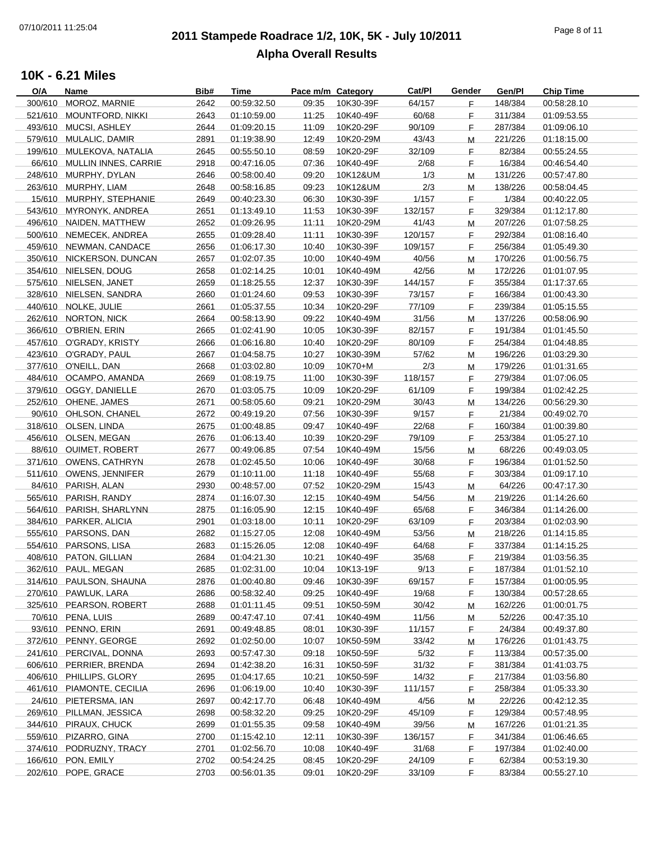# **2011 Stampede Roadrace 1/2, 10K, 5K - July 10/2011** 07/10/2011 11:25:04 Page 8 of 11 **Alpha Overall Results**

| O/A     | Name                        | Bib# | <b>Time</b> | Pace m/m Category |           | Cat/Pl  | Gender | Gen/Pl  | <b>Chip Time</b> |
|---------|-----------------------------|------|-------------|-------------------|-----------|---------|--------|---------|------------------|
| 300/610 | MOROZ, MARNIE               | 2642 | 00:59:32.50 | 09:35             | 10K30-39F | 64/157  | F.     | 148/384 | 00:58:28.10      |
|         | 521/610 MOUNTFORD, NIKKI    | 2643 | 01:10:59.00 | 11:25             | 10K40-49F | 60/68   | F.     | 311/384 | 01:09:53.55      |
|         | 493/610 MUCSI, ASHLEY       | 2644 | 01:09:20.15 | 11:09             | 10K20-29F | 90/109  | F.     | 287/384 | 01:09:06.10      |
|         | 579/610 MULALIC, DAMIR      | 2891 | 01:19:38.90 | 12:49             | 10K20-29M | 43/43   | M      | 221/226 | 01:18:15.00      |
|         | 199/610 MULEKOVA, NATALIA   | 2645 | 00:55:50.10 | 08:59             | 10K20-29F | 32/109  | F.     | 82/384  | 00:55:24.55      |
|         | 66/610 MULLIN INNES, CARRIE | 2918 | 00:47:16.05 | 07:36             | 10K40-49F | 2/68    | F.     | 16/384  | 00:46:54.40      |
|         |                             |      |             |                   |           |         |        |         |                  |
|         | 248/610 MURPHY, DYLAN       | 2646 | 00:58:00.40 | 09:20             | 10K12&UM  | 1/3     | M      | 131/226 | 00:57:47.80      |
|         | 263/610 MURPHY, LIAM        | 2648 | 00:58:16.85 | 09:23             | 10K12&UM  | 2/3     | M      | 138/226 | 00:58:04.45      |
|         | 15/610 MURPHY, STEPHANIE    | 2649 | 00:40:23.30 | 06:30             | 10K30-39F | 1/157   | F.     | 1/384   | 00:40:22.05      |
|         | 543/610 MYRONYK, ANDREA     | 2651 | 01:13:49.10 | 11:53             | 10K30-39F | 132/157 | F.     | 329/384 | 01:12:17.80      |
|         | 496/610 NAIDEN, MATTHEW     | 2652 | 01:09:26.95 | 11:11             | 10K20-29M | 41/43   | м      | 207/226 | 01:07:58.25      |
|         | 500/610 NEMECEK, ANDREA     | 2655 | 01:09:28.40 | 11:11             | 10K30-39F | 120/157 | F.     | 292/384 | 01:08:16.40      |
|         | 459/610 NEWMAN, CANDACE     | 2656 | 01:06:17.30 | 10:40             | 10K30-39F | 109/157 | F.     | 256/384 | 01:05:49.30      |
|         | 350/610 NICKERSON, DUNCAN   | 2657 | 01:02:07.35 | 10:00             | 10K40-49M | 40/56   | M      | 170/226 | 01:00:56.75      |
|         | 354/610 NIELSEN, DOUG       | 2658 | 01:02:14.25 | 10:01             | 10K40-49M | 42/56   | M      | 172/226 | 01:01:07.95      |
|         | 575/610 NIELSEN, JANET      | 2659 | 01:18:25.55 | 12:37             | 10K30-39F | 144/157 | F.     | 355/384 | 01:17:37.65      |
|         |                             |      |             | 09:53             |           |         |        |         |                  |
|         | 328/610 NIELSEN, SANDRA     | 2660 | 01:01:24.60 |                   | 10K30-39F | 73/157  | F.     | 166/384 | 01:00:43.30      |
|         | 440/610 NOLKE, JULIE        | 2661 | 01:05:37.55 | 10:34             | 10K20-29F | 77/109  | F.     | 239/384 | 01:05:15.55      |
|         | 262/610 NORTON, NICK        | 2664 | 00:58:13.90 | 09:22             | 10K40-49M | 31/56   | M      | 137/226 | 00:58:06.90      |
|         | 366/610 O'BRIEN, ERIN       | 2665 | 01:02:41.90 | 10:05             | 10K30-39F | 82/157  | F.     | 191/384 | 01:01:45.50      |
|         | 457/610 O'GRADY, KRISTY     | 2666 | 01:06:16.80 | 10:40             | 10K20-29F | 80/109  | F.     | 254/384 | 01:04:48.85      |
|         | 423/610 O'GRADY, PAUL       | 2667 | 01:04:58.75 | 10:27             | 10K30-39M | 57/62   | M      | 196/226 | 01:03:29.30      |
|         | 377/610 O'NEILL, DAN        | 2668 | 01:03:02.80 | 10:09             | 10K70+M   | 2/3     | M      | 179/226 | 01:01:31.65      |
|         | 484/610 OCAMPO, AMANDA      | 2669 | 01:08:19.75 | 11:00             | 10K30-39F | 118/157 | F.     | 279/384 | 01:07:06.05      |
|         | 379/610 OGGY, DANIELLE      | 2670 | 01:03:05.75 | 10:09             | 10K20-29F | 61/109  | F.     | 199/384 | 01:02:42.25      |
|         | 252/610 OHENE, JAMES        | 2671 | 00:58:05.60 | 09:21             | 10K20-29M | 30/43   |        | 134/226 | 00:56:29.30      |
|         |                             |      |             |                   |           |         | м      |         |                  |
|         | 90/610 OHLSON, CHANEL       | 2672 | 00:49:19.20 | 07:56             | 10K30-39F | 9/157   | F.     | 21/384  | 00:49:02.70      |
|         | 318/610 OLSEN, LINDA        | 2675 | 01:00:48.85 | 09:47             | 10K40-49F | 22/68   | F.     | 160/384 | 01:00:39.80      |
|         | 456/610 OLSEN, MEGAN        | 2676 | 01:06:13.40 | 10:39             | 10K20-29F | 79/109  | F.     | 253/384 | 01:05:27.10      |
|         | 88/610 OUIMET, ROBERT       | 2677 | 00:49:06.85 | 07:54             | 10K40-49M | 15/56   | M      | 68/226  | 00:49:03.05      |
|         | 371/610 OWENS, CATHRYN      | 2678 | 01:02:45.50 | 10:06             | 10K40-49F | 30/68   | F.     | 196/384 | 01:01:52.50      |
|         | 511/610 OWENS, JENNIFER     | 2679 | 01:10:11.00 | 11:18             | 10K40-49F | 55/68   | F.     | 303/384 | 01:09:17.10      |
|         | 84/610 PARISH, ALAN         | 2930 | 00:48:57.00 | 07:52             | 10K20-29M | 15/43   | M      | 64/226  | 00:47:17.30      |
|         | 565/610 PARISH, RANDY       | 2874 | 01:16:07.30 | 12:15             | 10K40-49M | 54/56   | м      | 219/226 | 01:14:26.60      |
|         | 564/610 PARISH, SHARLYNN    | 2875 | 01:16:05.90 | 12:15             | 10K40-49F | 65/68   | F.     | 346/384 | 01:14:26.00      |
|         | 384/610 PARKER, ALICIA      | 2901 | 01:03:18.00 | 10:11             | 10K20-29F | 63/109  | F.     | 203/384 | 01:02:03.90      |
|         | 555/610 PARSONS, DAN        | 2682 | 01:15:27.05 | 12:08             | 10K40-49M | 53/56   |        | 218/226 | 01:14:15.85      |
|         |                             |      |             |                   |           |         | M      |         |                  |
|         | 554/610 PARSONS, LISA       | 2683 | 01:15:26.05 | 12:08             | 10K40-49F | 64/68   | F.     | 337/384 | 01:14:15.25      |
|         | 408/610 PATON, GILLIAN      | 2684 | 01:04:21.30 | 10:21             | 10K40-49F | 35/68   | F.     | 219/384 | 01:03:56.35      |
|         | 362/610 PAUL, MEGAN         | 2685 | 01:02:31.00 | 10:04             | 10K13-19F | 9/13    | F      | 187/384 | 01:01:52.10      |
|         | 314/610 PAULSON, SHAUNA     | 2876 | 01:00:40.80 | 09:46             | 10K30-39F | 69/157  | F.     | 157/384 | 01:00:05.95      |
|         | 270/610 PAWLUK, LARA        | 2686 | 00:58:32.40 | 09:25             | 10K40-49F | 19/68   | F.     | 130/384 | 00:57:28.65      |
|         | 325/610 PEARSON, ROBERT     | 2688 | 01:01:11.45 | 09:51             | 10K50-59M | 30/42   | M      | 162/226 | 01:00:01.75      |
|         | 70/610 PENA, LUIS           | 2689 | 00:47:47.10 | 07:41             | 10K40-49M | 11/56   | M      | 52/226  | 00:47:35.10      |
|         | 93/610 PENNO, ERIN          | 2691 | 00:49:48.85 | 08:01             | 10K30-39F | 11/157  | F.     | 24/384  | 00:49:37.80      |
|         | 372/610 PENNY, GEORGE       | 2692 | 01:02:50.00 | 10:07             | 10K50-59M | 33/42   | M      | 176/226 | 01:01:43.75      |
|         | 241/610 PERCIVAL, DONNA     | 2693 | 00:57:47.30 | 09:18             | 10K50-59F | 5/32    | F.     | 113/384 | 00:57:35.00      |
|         |                             |      |             |                   |           |         |        |         |                  |
|         | 606/610 PERRIER, BRENDA     | 2694 | 01:42:38.20 | 16:31             | 10K50-59F | 31/32   | F.     | 381/384 | 01:41:03.75      |
|         | 406/610 PHILLIPS, GLORY     | 2695 | 01:04:17.65 | 10:21             | 10K50-59F | 14/32   | F.     | 217/384 | 01:03:56.80      |
|         | 461/610 PIAMONTE, CECILIA   | 2696 | 01:06:19.00 | 10:40             | 10K30-39F | 111/157 | F.     | 258/384 | 01:05:33.30      |
|         | 24/610 PIETERSMA, IAN       | 2697 | 00:42:17.70 | 06:48             | 10K40-49M | 4/56    | M      | 22/226  | 00:42:12.35      |
|         | 269/610 PILLMAN, JESSICA    | 2698 | 00:58:32.20 | 09:25             | 10K20-29F | 45/109  | F.     | 129/384 | 00:57:48.95      |
|         | 344/610 PIRAUX, CHUCK       | 2699 | 01:01:55.35 | 09:58             | 10K40-49M | 39/56   | M      | 167/226 | 01:01:21.35      |
|         | 559/610 PIZARRO, GINA       | 2700 | 01:15:42.10 | 12:11             | 10K30-39F | 136/157 | F      | 341/384 | 01:06:46.65      |
|         | 374/610 PODRUZNY, TRACY     | 2701 | 01:02:56.70 | 10:08             | 10K40-49F | 31/68   | F.     | 197/384 | 01:02:40.00      |
|         | 166/610 PON, EMILY          | 2702 | 00:54:24.25 | 08:45             | 10K20-29F | 24/109  | F.     | 62/384  | 00:53:19.30      |
|         | 202/610 POPE, GRACE         | 2703 | 00:56:01.35 | 09:01             | 10K20-29F | 33/109  |        | 83/384  | 00:55:27.10      |
|         |                             |      |             |                   |           |         | F.     |         |                  |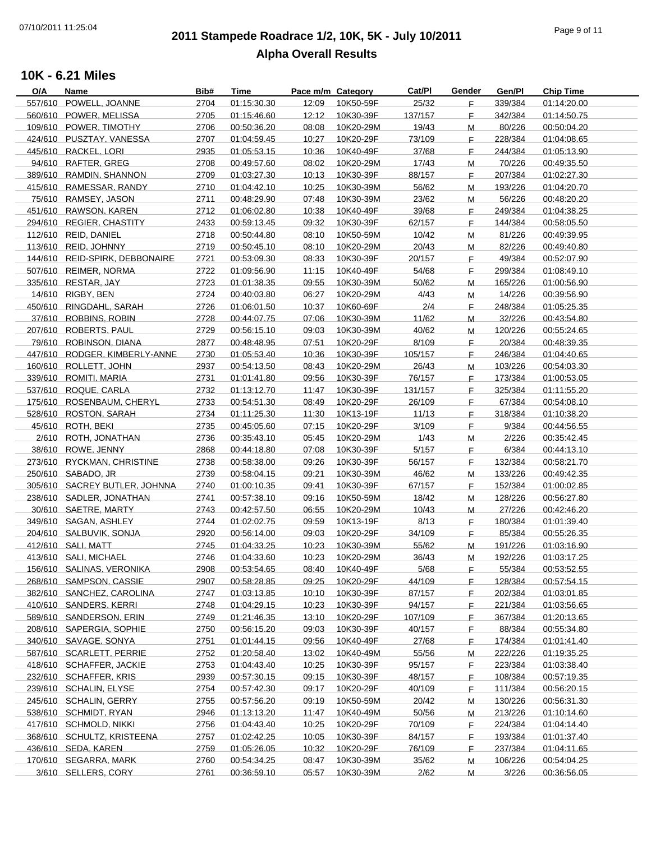# **2011 Stampede Roadrace 1/2, 10K, 5K - July 10/2011** 07/10/2011 11:25:04 Page 9 of 11 **Alpha Overall Results**

| O/A     | Name                                                 | Bib# | <b>Time</b> | Pace m/m Category |           | Cat/Pl  | Gender | Gen/Pl  | <b>Chip Time</b> |
|---------|------------------------------------------------------|------|-------------|-------------------|-----------|---------|--------|---------|------------------|
| 557/610 | POWELL, JOANNE                                       | 2704 | 01:15:30.30 | 12:09             | 10K50-59F | 25/32   | F.     | 339/384 | 01:14:20.00      |
|         | 560/610 POWER, MELISSA                               | 2705 | 01:15:46.60 | 12:12             | 10K30-39F | 137/157 | F.     | 342/384 | 01:14:50.75      |
|         | 109/610 POWER, TIMOTHY                               | 2706 | 00:50:36.20 | 08:08             | 10K20-29M | 19/43   | M      | 80/226  | 00:50:04.20      |
|         | 424/610 PUSZTAY, VANESSA                             | 2707 | 01:04:59.45 | 10:27             | 10K20-29F | 73/109  | E      | 228/384 | 01:04:08.65      |
|         | 445/610 RACKEL, LORI                                 | 2935 | 01:05:53.15 | 10:36             | 10K40-49F | 37/68   | F      | 244/384 | 01:05:13.90      |
|         | 94/610 RAFTER, GREG                                  | 2708 | 00:49:57.60 | 08:02             | 10K20-29M | 17/43   | M      | 70/226  | 00:49:35.50      |
|         | 389/610 RAMDIN, SHANNON                              | 2709 | 01:03:27.30 | 10:13             | 10K30-39F | 88/157  | F.     | 207/384 | 01:02:27.30      |
|         | 415/610 RAMESSAR, RANDY                              | 2710 | 01:04:42.10 | 10:25             | 10K30-39M | 56/62   |        | 193/226 | 01:04:20.70      |
|         |                                                      |      |             |                   |           |         | M      |         |                  |
|         | 75/610 RAMSEY, JASON                                 | 2711 | 00:48:29.90 | 07:48             | 10K30-39M | 23/62   | M      | 56/226  | 00:48:20.20      |
|         | 451/610 RAWSON, KAREN                                | 2712 | 01:06:02.80 | 10:38             | 10K40-49F | 39/68   | F.     | 249/384 | 01:04:38.25      |
|         | 294/610 REGIER, CHASTITY                             | 2433 | 00:59:13.45 | 09:32             | 10K30-39F | 62/157  | F.     | 144/384 | 00:58:05.50      |
|         | 112/610 REID, DANIEL                                 | 2718 | 00:50:44.80 | 08:10             | 10K50-59M | 10/42   | M      | 81/226  | 00:49:39.95      |
|         | 113/610 REID, JOHNNY                                 | 2719 | 00:50:45.10 | 08:10             | 10K20-29M | 20/43   | M      | 82/226  | 00:49:40.80      |
|         | 144/610 REID-SPIRK, DEBBONAIRE                       | 2721 | 00:53:09.30 | 08:33             | 10K30-39F | 20/157  | E      | 49/384  | 00:52:07.90      |
|         | 507/610 REIMER, NORMA                                | 2722 | 01:09:56.90 | 11:15             | 10K40-49F | 54/68   | F.     | 299/384 | 01:08:49.10      |
|         | 335/610 RESTAR, JAY                                  | 2723 | 01:01:38.35 | 09:55             | 10K30-39M | 50/62   | M      | 165/226 | 01:00:56.90      |
|         | 14/610 RIGBY, BEN                                    | 2724 | 00:40:03.80 | 06:27             | 10K20-29M | 4/43    | M      | 14/226  | 00:39:56.90      |
|         | 450/610 RINGDAHL, SARAH                              | 2726 | 01:06:01.50 | 10:37             | 10K60-69F | 2/4     | F.     | 248/384 | 01:05:25.35      |
|         | 37/610 ROBBINS, ROBIN                                | 2728 | 00:44:07.75 | 07:06             | 10K30-39M | 11/62   | M      | 32/226  | 00:43:54.80      |
|         | 207/610 ROBERTS, PAUL                                | 2729 | 00:56:15.10 | 09:03             | 10K30-39M | 40/62   | M      | 120/226 | 00:55:24.65      |
|         | 79/610 ROBINSON, DIANA                               | 2877 | 00:48:48.95 | 07:51             | 10K20-29F | 8/109   | F.     | 20/384  | 00:48:39.35      |
|         | 447/610 RODGER, KIMBERLY-ANNE                        | 2730 | 01:05:53.40 | 10:36             | 10K30-39F | 105/157 | F      | 246/384 | 01:04:40.65      |
|         | 160/610 ROLLETT, JOHN                                | 2937 | 00:54:13.50 | 08:43             |           | 26/43   |        | 103/226 |                  |
|         |                                                      |      |             |                   | 10K20-29M |         | M      |         | 00:54:03.30      |
|         | 339/610 ROMITI, MARIA                                | 2731 | 01:01:41.80 | 09:56             | 10K30-39F | 76/157  | F.     | 173/384 | 01:00:53.05      |
|         | 537/610 ROQUE, CARLA                                 | 2732 | 01:13:12.70 | 11:47             | 10K30-39F | 131/157 | F.     | 325/384 | 01:11:55.20      |
|         | 175/610 ROSENBAUM, CHERYL                            | 2733 | 00:54:51.30 | 08:49             | 10K20-29F | 26/109  | F.     | 67/384  | 00:54:08.10      |
|         | 528/610 ROSTON, SARAH                                | 2734 | 01:11:25.30 | 11:30             | 10K13-19F | 11/13   | F.     | 318/384 | 01:10:38.20      |
|         | 45/610 ROTH, BEKI                                    | 2735 | 00:45:05.60 | 07:15             | 10K20-29F | 3/109   | E      | 9/384   | 00:44:56.55      |
|         | 2/610 ROTH, JONATHAN                                 | 2736 | 00:35:43.10 | 05:45             | 10K20-29M | 1/43    | M      | 2/226   | 00:35:42.45      |
|         | 38/610 ROWE, JENNY                                   | 2868 | 00:44:18.80 | 07:08             | 10K30-39F | 5/157   | E      | 6/384   | 00:44:13.10      |
|         | 273/610 RYCKMAN, CHRISTINE                           | 2738 | 00:58:38.00 | 09:26             | 10K30-39F | 56/157  | F.     | 132/384 | 00:58:21.70      |
|         | 250/610 SABADO, JR                                   | 2739 | 00:58:04.15 | 09:21             | 10K30-39M | 46/62   | M      | 133/226 | 00:49:42.35      |
|         | 305/610 SACREY BUTLER, JOHNNA                        | 2740 | 01:00:10.35 | 09:41             | 10K30-39F | 67/157  | F.     | 152/384 | 01:00:02.85      |
|         | 238/610 SADLER, JONATHAN                             | 2741 | 00:57:38.10 | 09:16             | 10K50-59M | 18/42   | М      | 128/226 | 00:56:27.80      |
|         | 30/610 SAETRE, MARTY                                 | 2743 | 00:42:57.50 | 06:55             | 10K20-29M | 10/43   | М      | 27/226  | 00:42:46.20      |
|         | 349/610 SAGAN, ASHLEY                                | 2744 | 01:02:02.75 | 09:59             | 10K13-19F | 8/13    | F      | 180/384 | 01:01:39.40      |
|         | 204/610 SALBUVIK, SONJA                              | 2920 | 00:56:14.00 | 09:03             | 10K20-29F | 34/109  | F      | 85/384  | 00:55:26.35      |
|         | 412/610 SALI, MATT                                   | 2745 | 01:04:33.25 | 10:23             | 10K30-39M | 55/62   | M      | 191/226 | 01:03:16.90      |
|         | 413/610 SALI, MICHAEL                                | 2746 | 01:04:33.60 | 10:23             | 10K20-29M | 36/43   | M      | 192/226 | 01:03:17.25      |
|         |                                                      | 2908 |             |                   |           |         |        |         |                  |
|         | 156/610 SALINAS, VERONIKA<br>268/610 SAMPSON, CASSIE |      | 00:53:54.65 | 08:40             | 10K40-49F | 5/68    | F      | 55/384  | 00:53:52.55      |
|         |                                                      | 2907 | 00:58:28.85 | 09:25             | 10K20-29F | 44/109  | F.     | 128/384 | 00:57:54.15      |
|         | 382/610 SANCHEZ, CAROLINA                            | 2747 | 01:03:13.85 | 10:10             | 10K30-39F | 87/157  | F      | 202/384 | 01:03:01.85      |
|         | 410/610 SANDERS, KERRI                               | 2748 | 01:04:29.15 | 10:23             | 10K30-39F | 94/157  | F.     | 221/384 | 01:03:56.65      |
|         | 589/610 SANDERSON, ERIN                              | 2749 | 01:21:46.35 | 13:10             | 10K20-29F | 107/109 | F      | 367/384 | 01:20:13.65      |
|         | 208/610 SAPERGIA, SOPHIE                             | 2750 | 00:56:15.20 | 09:03             | 10K30-39F | 40/157  | F      | 88/384  | 00:55:34.80      |
|         | 340/610 SAVAGE, SONYA                                | 2751 | 01:01:44.15 | 09:56             | 10K40-49F | 27/68   | F.     | 174/384 | 01:01:41.40      |
|         | 587/610 SCARLETT, PERRIE                             | 2752 | 01:20:58.40 | 13:02             | 10K40-49M | 55/56   | M      | 222/226 | 01:19:35.25      |
|         | 418/610 SCHAFFER, JACKIE                             | 2753 | 01:04:43.40 | 10:25             | 10K30-39F | 95/157  | F      | 223/384 | 01:03:38.40      |
|         | 232/610 SCHAFFER, KRIS                               | 2939 | 00:57:30.15 | 09:15             | 10K30-39F | 48/157  | F      | 108/384 | 00:57:19.35      |
|         | 239/610 SCHALIN, ELYSE                               | 2754 | 00:57:42.30 | 09:17             | 10K20-29F | 40/109  | F      | 111/384 | 00:56:20.15      |
|         | 245/610 SCHALIN, GERRY                               | 2755 | 00:57:56.20 | 09:19             | 10K50-59M | 20/42   | М      | 130/226 | 00:56:31.30      |
|         | 538/610 SCHMIDT, RYAN                                | 2946 | 01:13:13.20 | 11:47             | 10K40-49M | 50/56   | М      | 213/226 | 01:10:14.60      |
|         | 417/610 SCHMOLD, NIKKI                               | 2756 | 01:04:43.40 | 10:25             | 10K20-29F | 70/109  | F      | 224/384 | 01:04:14.40      |
|         | 368/610 SCHULTZ, KRISTEENA                           | 2757 | 01:02:42.25 | 10:05             | 10K30-39F | 84/157  | F      | 193/384 | 01:01:37.40      |
|         | 436/610 SEDA, KAREN                                  | 2759 | 01:05:26.05 | 10:32             | 10K20-29F | 76/109  | F.     | 237/384 | 01:04:11.65      |
|         | 170/610 SEGARRA, MARK                                | 2760 | 00:54:34.25 | 08:47             | 10K30-39M | 35/62   | M      | 106/226 | 00:54:04.25      |
|         |                                                      |      |             |                   |           |         |        |         |                  |
|         | 3/610 SELLERS, CORY                                  | 2761 | 00:36:59.10 | 05:57             | 10K30-39M | 2/62    | M      | 3/226   | 00:36:56.05      |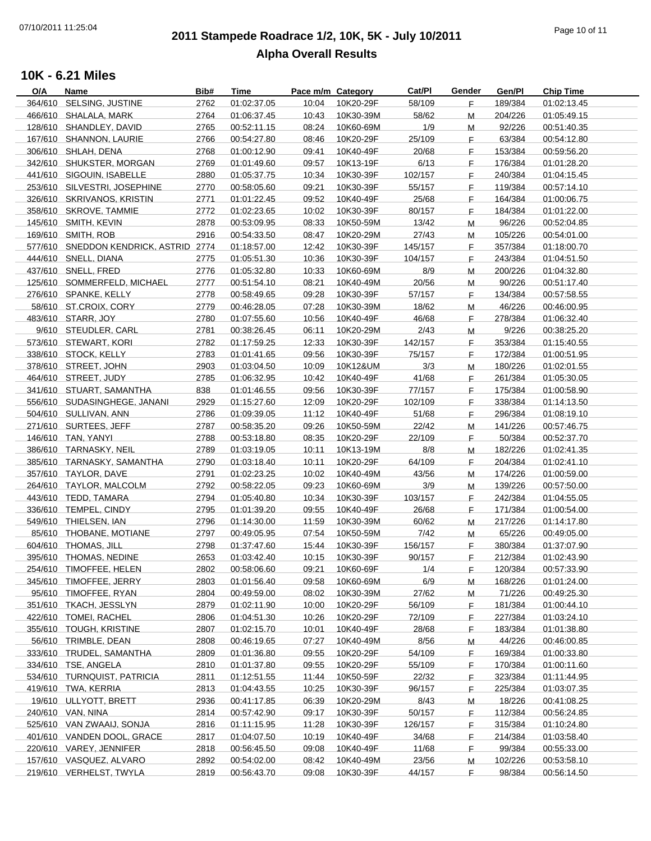# **2011 Stampede Roadrace 1/2, 10K, 5K - July 10/2011** 07/10/2011 11:25:04 Page 10 of 11 **Alpha Overall Results**

| O/A     | Name                                  | Bib# | Time        | Pace m/m Category |           | Cat/Pl  | Gender | Gen/Pl  | <b>Chip Time</b> |
|---------|---------------------------------------|------|-------------|-------------------|-----------|---------|--------|---------|------------------|
| 364/610 | SELSING, JUSTINE                      | 2762 | 01:02:37.05 | 10:04             | 10K20-29F | 58/109  | F.     | 189/384 | 01:02:13.45      |
|         | 466/610 SHALALA, MARK                 | 2764 | 01:06:37.45 | 10:43             | 10K30-39M | 58/62   | м      | 204/226 | 01:05:49.15      |
|         | 128/610 SHANDLEY, DAVID               | 2765 | 00:52:11.15 | 08:24             | 10K60-69M | 1/9     | м      | 92/226  | 00:51:40.35      |
|         | 167/610 SHANNON, LAURIE               | 2766 | 00:54:27.80 | 08:46             | 10K20-29F | 25/109  | E      | 63/384  | 00:54:12.80      |
|         | 306/610 SHLAH, DENA                   | 2768 | 01:00:12.90 | 09:41             | 10K40-49F | 20/68   | E      | 153/384 | 00:59:56.20      |
|         | 342/610 SHUKSTER, MORGAN              | 2769 | 01:01:49.60 | 09:57             | 10K13-19F | 6/13    | E      | 176/384 | 01:01:28.20      |
|         | 441/610 SIGOUIN, ISABELLE             | 2880 | 01:05:37.75 | 10:34             | 10K30-39F | 102/157 | F.     | 240/384 | 01:04:15.45      |
|         |                                       |      |             |                   |           |         |        |         |                  |
|         | 253/610 SILVESTRI, JOSEPHINE          | 2770 | 00:58:05.60 | 09:21             | 10K30-39F | 55/157  | F.     | 119/384 | 00:57:14.10      |
|         | 326/610 SKRIVANOS, KRISTIN            | 2771 | 01:01:22.45 | 09:52             | 10K40-49F | 25/68   | F.     | 164/384 | 01:00:06.75      |
|         | 358/610 SKROVE, TAMMIE                | 2772 | 01:02:23.65 | 10:02             | 10K30-39F | 80/157  | F.     | 184/384 | 01:01:22.00      |
|         | 145/610 SMITH, KEVIN                  | 2878 | 00:53:09.95 | 08:33             | 10K50-59M | 13/42   | M      | 96/226  | 00:52:04.85      |
|         | 169/610 SMITH, ROB                    | 2916 | 00:54:33.50 | 08:47             | 10K20-29M | 27/43   | М      | 105/226 | 00:54:01.00      |
|         | 577/610 SNEDDON KENDRICK, ASTRID 2774 |      | 01:18:57.00 | 12:42             | 10K30-39F | 145/157 | F.     | 357/384 | 01:18:00.70      |
|         | 444/610 SNELL, DIANA                  | 2775 | 01:05:51.30 | 10:36             | 10K30-39F | 104/157 | F.     | 243/384 | 01:04:51.50      |
|         | 437/610 SNELL, FRED                   | 2776 | 01:05:32.80 | 10:33             | 10K60-69M | 8/9     | M      | 200/226 | 01:04:32.80      |
|         | 125/610 SOMMERFELD, MICHAEL           | 2777 | 00:51:54.10 | 08:21             | 10K40-49M | 20/56   | M      | 90/226  | 00:51:17.40      |
|         | 276/610 SPANKE, KELLY                 | 2778 | 00:58:49.65 | 09:28             | 10K30-39F | 57/157  | F.     | 134/384 | 00:57:58.55      |
|         | 58/610 ST.CROIX, CORY                 | 2779 | 00:46:28.05 | 07:28             | 10K30-39M | 18/62   | м      | 46/226  | 00:46:00.95      |
|         | 483/610 STARR, JOY                    | 2780 | 01:07:55.60 | 10:56             | 10K40-49F | 46/68   | F.     | 278/384 | 01:06:32.40      |
|         | 9/610 STEUDLER, CARL                  | 2781 | 00:38:26.45 | 06:11             | 10K20-29M | 2/43    | M      | 9/226   | 00:38:25.20      |
|         | 573/610 STEWART, KORI                 | 2782 | 01:17:59.25 | 12:33             | 10K30-39F | 142/157 | F.     | 353/384 | 01:15:40.55      |
|         |                                       |      |             |                   |           |         |        |         |                  |
|         | 338/610 STOCK, KELLY                  | 2783 | 01:01:41.65 | 09:56             | 10K30-39F | 75/157  | F.     | 172/384 | 01:00:51.95      |
|         | 378/610 STREET, JOHN                  | 2903 | 01:03:04.50 | 10:09             | 10K12&UM  | 3/3     | M      | 180/226 | 01:02:01.55      |
|         | 464/610 STREET, JUDY                  | 2785 | 01:06:32.95 | 10:42             | 10K40-49F | 41/68   | F.     | 261/384 | 01:05:30.05      |
|         | 341/610 STUART, SAMANTHA              | 838  | 01:01:46.55 | 09:56             | 10K30-39F | 77/157  | F.     | 175/384 | 01:00:58.90      |
|         | 556/610 SUDASINGHEGE, JANANI          | 2929 | 01:15:27.60 | 12:09             | 10K20-29F | 102/109 | F.     | 338/384 | 01:14:13.50      |
|         | 504/610 SULLIVAN, ANN                 | 2786 | 01:09:39.05 | 11:12             | 10K40-49F | 51/68   | F.     | 296/384 | 01:08:19.10      |
|         | 271/610 SURTEES, JEFF                 | 2787 | 00:58:35.20 | 09:26             | 10K50-59M | 22/42   | М      | 141/226 | 00:57:46.75      |
|         | 146/610 TAN, YANYI                    | 2788 | 00:53:18.80 | 08:35             | 10K20-29F | 22/109  | F.     | 50/384  | 00:52:37.70      |
|         | 386/610 TARNASKY, NEIL                | 2789 | 01:03:19.05 | 10:11             | 10K13-19M | 8/8     | M      | 182/226 | 01:02:41.35      |
|         | 385/610 TARNASKY, SAMANTHA            | 2790 | 01:03:18.40 | 10:11             | 10K20-29F | 64/109  | F.     | 204/384 | 01:02:41.10      |
|         | 357/610 TAYLOR, DAVE                  | 2791 | 01:02:23.25 | 10:02             | 10K40-49M | 43/56   | M      | 174/226 | 01:00:59.00      |
|         | 264/610 TAYLOR, MALCOLM               | 2792 | 00:58:22.05 | 09:23             | 10K60-69M | 3/9     | м      | 139/226 | 00:57:50.00      |
|         | 443/610 TEDD, TAMARA                  | 2794 | 01:05:40.80 | 10:34             | 10K30-39F | 103/157 | F.     | 242/384 | 01:04:55.05      |
|         | 336/610 TEMPEL, CINDY                 | 2795 | 01:01:39.20 | 09:55             | 10K40-49F | 26/68   | E      | 171/384 | 01:00:54.00      |
|         | 549/610 THIELSEN, IAN                 |      | 01:14:30.00 | 11:59             | 10K30-39M | 60/62   |        | 217/226 |                  |
|         |                                       | 2796 |             |                   |           |         | M      |         | 01:14:17.80      |
|         | 85/610 THOBANE, MOTIANE               | 2797 | 00:49:05.95 | 07:54             | 10K50-59M | 7/42    | M      | 65/226  | 00:49:05.00      |
|         | 604/610 THOMAS, JILL                  | 2798 | 01:37:47.60 | 15:44             | 10K30-39F | 156/157 | E      | 380/384 | 01:37:07.90      |
|         | 395/610 THOMAS, NEDINE                | 2653 | 01:03:42.40 | 10:15             | 10K30-39F | 90/157  | F.     | 212/384 | 01:02:43.90      |
|         | 254/610 TIMOFFEE, HELEN               | 2802 | 00:58:06.60 | 09:21             | 10K60-69F | 1/4     | F      | 120/384 | 00:57:33.90      |
|         | 345/610 TIMOFFEE, JERRY               | 2803 | 01:01:56.40 | 09:58             | 10K60-69M | 6/9     | M      | 168/226 | 01:01:24.00      |
|         | 95/610 TIMOFFEE, RYAN                 | 2804 | 00:49:59.00 | 08:02             | 10K30-39M | 27/62   | M      | 71/226  | 00:49:25.30      |
|         | 351/610 TKACH, JESSLYN                | 2879 | 01:02:11.90 | 10:00             | 10K20-29F | 56/109  | F.     | 181/384 | 01:00:44.10      |
|         | 422/610 TOMEI, RACHEL                 | 2806 | 01:04:51.30 | 10:26             | 10K20-29F | 72/109  | F      | 227/384 | 01:03:24.10      |
|         | 355/610 TOUGH, KRISTINE               | 2807 | 01:02:15.70 | 10:01             | 10K40-49F | 28/68   | F      | 183/384 | 01:01:38.80      |
|         | 56/610 TRIMBLE, DEAN                  | 2808 | 00:46:19.65 | 07:27             | 10K40-49M | 8/56    | M      | 44/226  | 00:46:00.85      |
|         | 333/610 TRUDEL, SAMANTHA              | 2809 | 01:01:36.80 | 09:55             | 10K20-29F | 54/109  | F.     | 169/384 | 01:00:33.80      |
|         | 334/610 TSE, ANGELA                   | 2810 | 01:01:37.80 | 09:55             | 10K20-29F | 55/109  | F      | 170/384 | 01:00:11.60      |
|         | 534/610 TURNQUIST, PATRICIA           | 2811 | 01:12:51.55 | 11:44             | 10K50-59F | 22/32   | F.     | 323/384 | 01:11:44.95      |
|         |                                       |      |             | 10:25             | 10K30-39F | 96/157  |        | 225/384 | 01:03:07.35      |
|         | 419/610 TWA, KERRIA                   | 2813 | 01:04:43.55 |                   |           |         | F.     |         |                  |
|         | 19/610 ULLYOTT, BRETT                 | 2936 | 00:41:17.85 | 06:39             | 10K20-29M | 8/43    | M      | 18/226  | 00:41:08.25      |
|         | 240/610 VAN, NINA                     | 2814 | 00:57:42.90 | 09:17             | 10K30-39F | 50/157  | F.     | 112/384 | 00:56:24.85      |
|         | 525/610 VAN ZWAAIJ, SONJA             | 2816 | 01:11:15.95 | 11:28             | 10K30-39F | 126/157 | F      | 315/384 | 01:10:24.80      |
|         | 401/610 VANDEN DOOL, GRACE            | 2817 | 01:04:07.50 | 10:19             | 10K40-49F | 34/68   | F      | 214/384 | 01:03:58.40      |
|         | 220/610 VAREY, JENNIFER               | 2818 | 00:56:45.50 | 09:08             | 10K40-49F | 11/68   | F.     | 99/384  | 00:55:33.00      |
|         | 157/610 VASQUEZ, ALVARO               | 2892 | 00:54:02.00 | 08:42             | 10K40-49M | 23/56   | м      | 102/226 | 00:53:58.10      |
|         | 219/610 VERHELST, TWYLA               | 2819 | 00:56:43.70 | 09:08             | 10K30-39F | 44/157  | F.     | 98/384  | 00:56:14.50      |